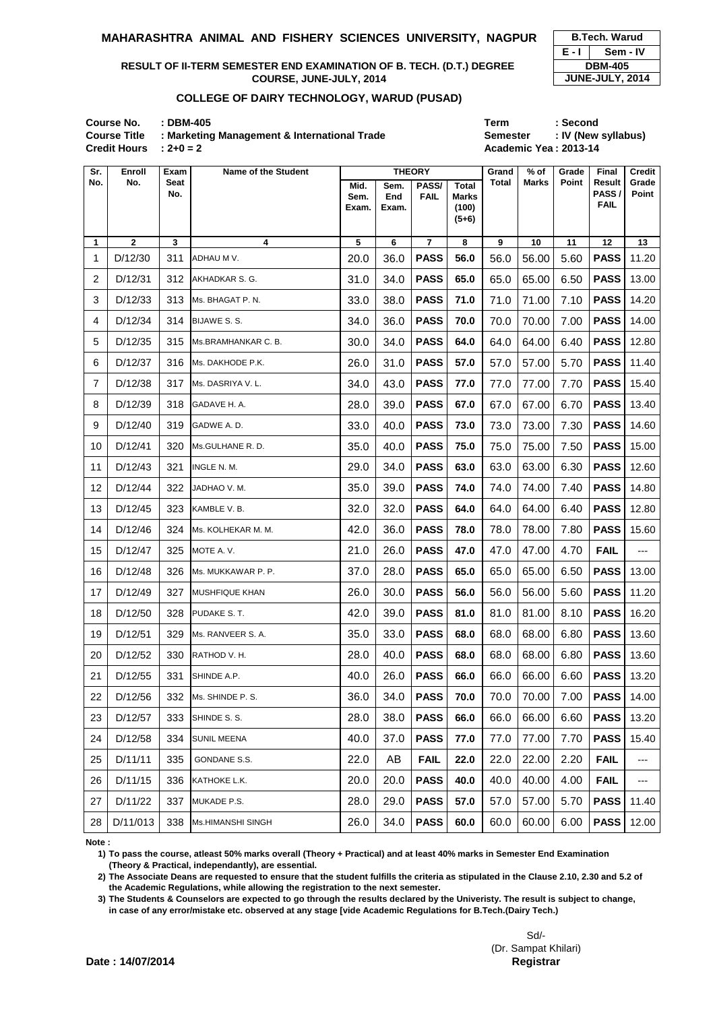**Course No. : DBM-405 Term : Second** Course Title : Marketing Management & International Trade **Semester : IV (New syllabus) Credit Hours : 2+0 = 2 Academic Year: 2013-14** 

| <b>B.Tech. Warud</b> |                 |  |  |  |  |  |  |  |
|----------------------|-----------------|--|--|--|--|--|--|--|
| $E - I$<br>Sem - IV  |                 |  |  |  |  |  |  |  |
|                      | <b>DBM-405</b>  |  |  |  |  |  |  |  |
|                      | JUNE-JULY, 2014 |  |  |  |  |  |  |  |

| Sr.            | <b>Enroll</b>  | Exam               | <b>Name of the Student</b> | <b>THEORY</b>         |                      |                      |                                                  | Grand        | $%$ of       | Grade        | <b>Final</b>                          | <b>Credit</b>         |
|----------------|----------------|--------------------|----------------------------|-----------------------|----------------------|----------------------|--------------------------------------------------|--------------|--------------|--------------|---------------------------------------|-----------------------|
| No.            | No.            | <b>Seat</b><br>No. |                            | Mid.<br>Sem.<br>Exam. | Sem.<br>End<br>Exam. | PASS/<br><b>FAIL</b> | <b>Total</b><br><b>Marks</b><br>(100)<br>$(5+6)$ | <b>Total</b> | <b>Marks</b> | <b>Point</b> | <b>Result</b><br>PASS/<br><b>FAIL</b> | Grade<br><b>Point</b> |
| 1              | $\overline{2}$ | 3                  | 4                          | 5                     | $\bf 6$              | $\overline{7}$       | 8                                                | $\mathbf{9}$ | 10           | 11           | 12                                    | 13                    |
| 1              | D/12/30        | 311                | ADHAU M V.                 | 20.0                  | 36.0                 | <b>PASS</b>          | 56.0                                             | 56.0         | 56.00        | 5.60         | <b>PASS</b>                           | 11.20                 |
| $\overline{2}$ | D/12/31        | 312                | AKHADKAR S. G.             | 31.0                  | 34.0                 | <b>PASS</b>          | 65.0                                             | 65.0         | 65.00        | 6.50         | <b>PASS</b>                           | 13.00                 |
| 3              | D/12/33        | 313                | Ms. BHAGAT P. N.           | 33.0                  | 38.0                 | <b>PASS</b>          | 71.0                                             | 71.0         | 71.00        | 7.10         | <b>PASS</b>                           | 14.20                 |
| 4              | D/12/34        | 314                | BIJAWE S.S.                | 34.0                  | 36.0                 | <b>PASS</b>          | 70.0                                             | 70.0         | 70.00        | 7.00         | <b>PASS</b>                           | 14.00                 |
| 5              | D/12/35        | 315                | Ms.BRAMHANKAR C. B.        | 30.0                  | 34.0                 | <b>PASS</b>          | 64.0                                             | 64.0         | 64.00        | 6.40         | <b>PASS</b>                           | 12.80                 |
| 6              | D/12/37        | 316                | Ms. DAKHODE P.K.           | 26.0                  | 31.0                 | <b>PASS</b>          | 57.0                                             | 57.0         | 57.00        | 5.70         | <b>PASS</b>                           | 11.40                 |
| $\overline{7}$ | D/12/38        | 317                | Ms. DASRIYA V. L.          | 34.0                  | 43.0                 | <b>PASS</b>          | 77.0                                             | 77.0         | 77.00        | 7.70         | <b>PASS</b>                           | 15.40                 |
| 8              | D/12/39        | 318                | GADAVE H. A.               | 28.0                  | 39.0                 | <b>PASS</b>          | 67.0                                             | 67.0         | 67.00        | 6.70         | <b>PASS</b>                           | 13.40                 |
| 9              | D/12/40        | 319                | GADWE A.D.                 | 33.0                  | 40.0                 | <b>PASS</b>          | 73.0                                             | 73.0         | 73.00        | 7.30         | <b>PASS</b>                           | 14.60                 |
| 10             | D/12/41        | 320                | Ms.GULHANE R. D.           | 35.0                  | 40.0                 | <b>PASS</b>          | 75.0                                             | 75.0         | 75.00        | 7.50         | <b>PASS</b>                           | 15.00                 |
| 11             | D/12/43        | 321                | INGLE N. M.                | 29.0                  | 34.0                 | <b>PASS</b>          | 63.0                                             | 63.0         | 63.00        | 6.30         | <b>PASS</b>                           | 12.60                 |
| 12             | D/12/44        | 322                | JADHAO V. M.               | 35.0                  | 39.0                 | <b>PASS</b>          | 74.0                                             | 74.0         | 74.00        | 7.40         | <b>PASS</b>                           | 14.80                 |
| 13             | D/12/45        | 323                | KAMBLE V. B.               | 32.0                  | 32.0                 | <b>PASS</b>          | 64.0                                             | 64.0         | 64.00        | 6.40         | <b>PASS</b>                           | 12.80                 |
| 14             | D/12/46        | 324                | Ms. KOLHEKAR M. M.         | 42.0                  | 36.0                 | <b>PASS</b>          | 78.0                                             | 78.0         | 78.00        | 7.80         | <b>PASS</b>                           | 15.60                 |
| 15             | D/12/47        | 325                | MOTE A.V.                  | 21.0                  | 26.0                 | <b>PASS</b>          | 47.0                                             | 47.0         | 47.00        | 4.70         | <b>FAIL</b>                           | ---                   |
| 16             | D/12/48        | 326                | Ms. MUKKAWAR P. P.         | 37.0                  | 28.0                 | <b>PASS</b>          | 65.0                                             | 65.0         | 65.00        | 6.50         | <b>PASS</b>                           | 13.00                 |
| 17             | D/12/49        | 327                | <b>MUSHFIQUE KHAN</b>      | 26.0                  | 30.0                 | <b>PASS</b>          | 56.0                                             | 56.0         | 56.00        | 5.60         | <b>PASS</b>                           | 11.20                 |
| 18             | D/12/50        | 328                | PUDAKE S.T.                | 42.0                  | 39.0                 | <b>PASS</b>          | 81.0                                             | 81.0         | 81.00        | 8.10         | <b>PASS</b>                           | 16.20                 |
| 19             | D/12/51        | 329                | Ms. RANVEER S. A.          | 35.0                  | 33.0                 | <b>PASS</b>          | 68.0                                             | 68.0         | 68.00        | 6.80         | <b>PASS</b>                           | 13.60                 |
| 20             | D/12/52        | 330                | RATHOD V. H.               | 28.0                  | 40.0                 | <b>PASS</b>          | 68.0                                             | 68.0         | 68.00        | 6.80         | <b>PASS</b>                           | 13.60                 |
| 21             | D/12/55        | 331                | SHINDE A.P.                | 40.0                  | 26.0                 | <b>PASS</b>          | 66.0                                             | 66.0         | 66.00        | 6.60         | <b>PASS</b>                           | 13.20                 |
| 22             | D/12/56        | 332                | Ms. SHINDE P. S.           | 36.0                  | 34.0                 | <b>PASS</b>          | 70.0                                             | 70.0         | 70.00        | 7.00         | <b>PASS</b>                           | 14.00                 |
| 23             | D/12/57        | 333                | SHINDE S.S.                | 28.0                  | 38.0                 | <b>PASS</b>          | 66.0                                             | 66.0         | 66.00        | 6.60         | <b>PASS</b>                           | 13.20                 |
| 24             | D/12/58        | 334                | <b>SUNIL MEENA</b>         | 40.0                  | 37.0                 | <b>PASS</b>          | 77.0                                             | 77.0         | 77.00        | 7.70         | <b>PASS</b>                           | 15.40                 |
| 25             | D/11/11        | 335                | GONDANE S.S.               | 22.0                  | AB                   | <b>FAIL</b>          | 22.0                                             | 22.0         | 22.00        | 2.20         | <b>FAIL</b>                           | $---$                 |
| 26             | D/11/15        | 336                | KATHOKE L.K.               | 20.0                  | 20.0                 | <b>PASS</b>          | 40.0                                             | 40.0         | 40.00        | 4.00         | <b>FAIL</b>                           | ---                   |
| 27             | D/11/22        | 337                | MUKADE P.S.                | 28.0                  | 29.0                 | <b>PASS</b>          | 57.0                                             | 57.0         | 57.00        | 5.70         | <b>PASS</b>                           | 11.40                 |
| 28             | D/11/013       | 338                | Ms.HIMANSHI SINGH          | 26.0                  | 34.0                 | <b>PASS</b>          | 60.0                                             | 60.0         | 60.00        | 6.00         | <b>PASS</b>                           | 12.00                 |

**Note :**

- **1) To pass the course, atleast 50% marks overall (Theory + Practical) and at least 40% marks in Semester End Examination (Theory & Practical, independantly), are essential.**
- **2) The Associate Deans are requested to ensure that the student fulfills the criteria as stipulated in the Clause 2.10, 2.30 and 5.2 of the Academic Regulations, while allowing the registration to the next semester.**
- **3) The Students & Counselors are expected to go through the results declared by the Univeristy. The result is subject to change, in case of any error/mistake etc. observed at any stage [vide Academic Regulations for B.Tech.(Dairy Tech.)**

Sd/- (Dr. Sampat Khilari)

**Date : 14/07/2014 Controller of Examinations Controller of Examinations Controller of Examinations Controller Security Registrar** 

### **MAHARASHTRA ANIMAL AND FISHERY SCIENCES UNIVERSITY, NAGPUR**

## **RESULT OF II-TERM SEMESTER END EXAMINATION OF B. TECH. (D.T.) DEGREE COURSE, JUNE-JULY, 2014**

# **COLLEGE OF DAIRY TECHNOLOGY, WARUD (PUSAD)**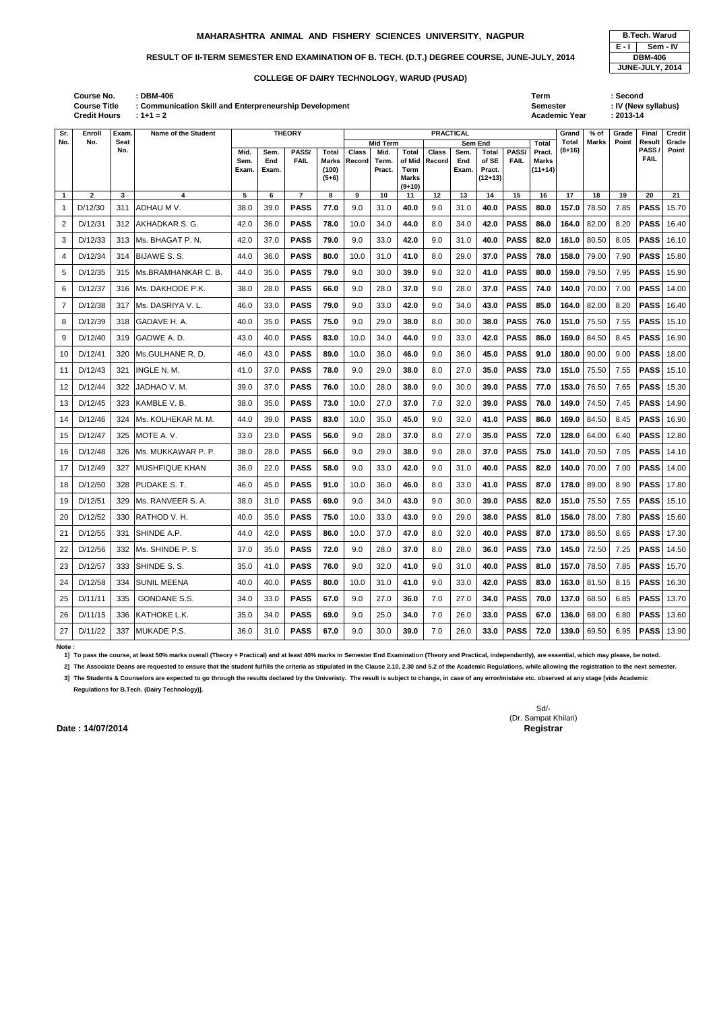|                   | <b>B.Tech. Warud</b> |  |  |  |  |  |  |  |  |  |  |
|-------------------|----------------------|--|--|--|--|--|--|--|--|--|--|
| E - I<br>Sem - IV |                      |  |  |  |  |  |  |  |  |  |  |
|                   | <b>DBM-406</b>       |  |  |  |  |  |  |  |  |  |  |
| JUNE-JULY, 2014   |                      |  |  |  |  |  |  |  |  |  |  |

**Academic Year** 

**: DBM-406 Term : Second : Communication Skill and Enterpreneurship Development Semester : IV (New syllabus) Credit Hours Course No. Course Title**

| Sr.          | Enroll       | Exam        | <b>Name of the Student</b> |              |             | <b>THEORY</b>        |                       | <b>PRACTICAL</b>                                                                                                       |        |                          |        |       |           |             |              |                 | $%$ of | Grade | Final             | <b>Credit</b>  |
|--------------|--------------|-------------|----------------------------|--------------|-------------|----------------------|-----------------------|------------------------------------------------------------------------------------------------------------------------|--------|--------------------------|--------|-------|-----------|-------------|--------------|-----------------|--------|-------|-------------------|----------------|
| No.          | No.          | Seat<br>No. |                            |              |             |                      |                       | <b>Mid Term</b><br>Sem End<br>PASS/<br><b>Class</b><br><b>Total</b><br>Class<br><b>Total</b><br>Mid.<br>Sem.<br>Pract. |        |                          |        |       |           |             | Total        | Total<br>(8+16) | Marks  | Point | Result<br>PASS    | Grade<br>Point |
|              |              |             |                            | Mid.<br>Sem. | Sem.<br>End | PASS/<br><b>FAIL</b> | Total<br><b>Marks</b> | Record                                                                                                                 | Term.  | of Mid                   | Record | End   | of SE     | <b>FAIL</b> | <b>Marks</b> |                 |        |       | <b>FAIL</b>       |                |
|              |              |             |                            | Exam.        | Exam.       |                      | (100)                 |                                                                                                                        | Pract. | Term                     |        | Exam. | Pract.    |             | $(11+14)$    |                 |        |       |                   |                |
|              |              |             |                            |              |             |                      | $(5+6)$               |                                                                                                                        |        | <b>Marks</b><br>$(9+10)$ |        |       | $(12+13)$ |             |              |                 |        |       |                   |                |
| $\mathbf{1}$ | $\mathbf{2}$ | 3           | 4                          | 5            | 6           | $\overline{7}$       | 8                     | 9                                                                                                                      | 10     | 11                       | 12     | 13    | 14        | 15          | 16           | 17              | 18     | 19    | 20                | 21             |
| -1           | D/12/30      | 311         | ADHAU M V.                 | 38.0         | 39.0        | <b>PASS</b>          | 77.0                  | 9.0                                                                                                                    | 31.0   | 40.0                     | 9.0    | 31.0  | 40.0      | <b>PASS</b> | 80.0         | 157.0           | 78.50  | 7.85  | <b>PASS</b>       | 15.70          |
| 2            | D/12/31      | 312         | AKHADKAR S. G.             | 42.0         | 36.0        | <b>PASS</b>          | 78.0                  | 10.0                                                                                                                   | 34.0   | 44.0                     | 8.0    | 34.0  | 42.0      | <b>PASS</b> | 86.0         | 164.0           | 82.00  | 8.20  | <b>PASS</b>       | 16.40          |
| 3            | D/12/33      | 313         | Ms. BHAGAT P.N.            | 42.0         | 37.0        | <b>PASS</b>          | 79.0                  | 9.0                                                                                                                    | 33.0   | 42.0                     | 9.0    | 31.0  | 40.0      | <b>PASS</b> | 82.0         | 161.0           | 80.50  | 8.05  | <b>PASS</b>       | 16.10          |
| 4            | D/12/34      | 314         | BIJAWE S. S.               | 44.0         | 36.0        | <b>PASS</b>          | 80.0                  | 10.0                                                                                                                   | 31.0   | 41.0                     | 8.0    | 29.0  | 37.0      | <b>PASS</b> | 78.0         | 158.0           | 79.00  | 7.90  | <b>PASS</b>       | 15.80          |
| 5            | D/12/35      | 315         | IMs.BRAMHANKAR C. B.       | 44.0         | 35.0        | <b>PASS</b>          | 79.0                  | 9.0                                                                                                                    | 30.0   | 39.0                     | 9.0    | 32.0  | 41.0      | <b>PASS</b> | 80.0         | 159.0           | 79.50  | 7.95  | <b>PASS</b>       | 15.90          |
| 6            | D/12/37      | 316         | Ms. DAKHODE P.K.           | 38.0         | 28.0        | <b>PASS</b>          | 66.0                  | 9.0                                                                                                                    | 28.0   | 37.0                     | 9.0    | 28.0  | 37.0      | <b>PASS</b> | 74.0         | 140.0           | 70.00  | 7.00  | <b>PASS</b>       | 14.00          |
| 7            | D/12/38      | 317         | Ms. DASRIYA V.L.           | 46.0         | 33.0        | <b>PASS</b>          | 79.0                  | 9.0                                                                                                                    | 33.0   | 42.0                     | 9.0    | 34.0  | 43.0      | <b>PASS</b> | 85.0         | 164.0           | 82.00  | 8.20  | <b>PASS</b>       | 16.40          |
| 8            | D/12/39      | 318         | GADAVE H. A.               | 40.0         | 35.0        | <b>PASS</b>          | 75.0                  | 9.0                                                                                                                    | 29.0   | 38.0                     | 8.0    | 30.0  | 38.0      | <b>PASS</b> | 76.0         | 151.0           | 75.50  | 7.55  | <b>PASS</b>       | 15.10          |
| 9            | D/12/40      | 319         | GADWE A.D.                 | 43.0         | 40.0        | <b>PASS</b>          | 83.0                  | 10.0                                                                                                                   | 34.0   | 44.0                     | 9.0    | 33.0  | 42.0      | <b>PASS</b> | 86.0         | 169.0           | 84.50  | 8.45  | <b>PASS</b>       | 16.90          |
| 10           | D/12/41      | 320         | Ms.GULHANE R.D.            | 46.0         | 43.0        | <b>PASS</b>          | 89.0                  | 10.0                                                                                                                   | 36.0   | 46.0                     | 9.0    | 36.0  | 45.0      | <b>PASS</b> | 91.0         | 180.0           | 90.00  | 9.00  | <b>PASS</b>       | 18.00          |
| 11           | D/12/43      | 321         | INGLE N. M.                | 41.0         | 37.0        | <b>PASS</b>          | 78.0                  | 9.0                                                                                                                    | 29.0   | 38.0                     | 8.0    | 27.0  | 35.0      | <b>PASS</b> | 73.0         | 151.0           | 75.50  | 7.55  | <b>PASS</b>       | 15.10          |
| 12           | D/12/44      | 322         | JADHAO V. M.               | 39.0         | 37.0        | <b>PASS</b>          | 76.0                  | 10.0                                                                                                                   | 28.0   | 38.0                     | 9.0    | 30.0  | 39.0      | <b>PASS</b> | 77.0         | 153.0           | 76.50  | 7.65  | <b>PASS</b>       | 15.30          |
| 13           | D/12/45      | 323         | KAMBLE V. B.               | 38.0         | 35.0        | <b>PASS</b>          | 73.0                  | 10.0                                                                                                                   | 27.0   | 37.0                     | 7.0    | 32.0  | 39.0      | <b>PASS</b> | 76.0         | 149.0           | 74.50  | 7.45  | <b>PASS</b>       | 14.90          |
| 14           | D/12/46      | 324         | Ms. KOLHEKAR M. M.         | 44.0         | 39.0        | <b>PASS</b>          | 83.0                  | 10.0                                                                                                                   | 35.0   | 45.0                     | 9.0    | 32.0  | 41.0      | <b>PASS</b> | 86.0         | 169.0           | 84.50  | 8.45  | <b>PASS</b>       | 16.90          |
| 15           | D/12/47      | 325         | MOTE A.V.                  | 33.0         | 23.0        | <b>PASS</b>          | 56.0                  | 9.0                                                                                                                    | 28.0   | 37.0                     | 8.0    | 27.0  | 35.0      | <b>PASS</b> | 72.0         | 128.0           | 64.00  | 6.40  | <b>PASS</b>       | 12.80          |
| 16           | D/12/48      | 326         | Ms. MUKKAWAR P. P.         | 38.0         | 28.0        | <b>PASS</b>          | 66.0                  | 9.0                                                                                                                    | 29.0   | 38.0                     | 9.0    | 28.0  | 37.0      | <b>PASS</b> | 75.0         | 141.0           | 70.50  | 7.05  | <b>PASS</b>       | 14.10          |
| 17           | D/12/49      | 327         | <b>MUSHFIQUE KHAN</b>      | 36.0         | 22.0        | <b>PASS</b>          | 58.0                  | 9.0                                                                                                                    | 33.0   | 42.0                     | 9.0    | 31.0  | 40.0      | <b>PASS</b> | 82.0         | 140.0           | 70.00  | 7.00  | <b>PASS</b>       | 14.00          |
| 18           | D/12/50      | 328         | <b>PUDAKE S.T.</b>         | 46.0         | 45.0        | <b>PASS</b>          | 91.0                  | 10.0                                                                                                                   | 36.0   | 46.0                     | 8.0    | 33.0  | 41.0      | <b>PASS</b> | 87.0         | 178.0           | 89.00  | 8.90  | <b>PASS</b>       | 17.80          |
| 19           | D/12/51      | 329         | IMs. RANVEER S. A.         | 38.0         | 31.0        | <b>PASS</b>          | 69.0                  | 9.0                                                                                                                    | 34.0   | 43.0                     | 9.0    | 30.0  | 39.0      | <b>PASS</b> | 82.0         | 151.0           | 75.50  | 7.55  | <b>PASS</b>       | 15.10          |
| 20           | D/12/52      | 330         | RATHOD V.H.                | 40.0         | 35.0        | <b>PASS</b>          | 75.0                  | 10.0                                                                                                                   | 33.0   | 43.0                     | 9.0    | 29.0  | 38.0      | <b>PASS</b> | 81.0         | 156.0           | 78.00  | 7.80  | <b>PASS</b>       | 15.60          |
| 21           | D/12/55      | 331         | SHINDE A.P.                | 44.0         | 42.0        | <b>PASS</b>          | 86.0                  | 10.0                                                                                                                   | 37.0   | 47.0                     | 8.0    | 32.0  | 40.0      | <b>PASS</b> | 87.0         | 173.0           | 86.50  | 8.65  | <b>PASS</b> 17.30 |                |
| 22           | D/12/56      | 332         | Ms. SHINDE P. S.           | 37.0         | 35.0        | <b>PASS</b>          | 72.0                  | 9.0                                                                                                                    | 28.0   | 37.0                     | 8.0    | 28.0  | 36.0      | <b>PASS</b> | 73.0         | 145.0           | 72.50  | 7.25  | <b>PASS</b> 14.50 |                |
| 23           | D/12/57      | 333         | SHINDE S. S.               | 35.0         | 41.0        | <b>PASS</b>          | 76.0                  | 9.0                                                                                                                    | 32.0   | 41.0                     | 9.0    | 31.0  | 40.0      | <b>PASS</b> | 81.0         | 157.0           | 78.50  | 7.85  | <b>PASS</b> 15.70 |                |
| 24           | D/12/58      | 334         | <b>SUNIL MEENA</b>         | 40.0         | 40.0        | <b>PASS</b>          | 80.0                  | 10.0                                                                                                                   | 31.0   | 41.0                     | 9.0    | 33.0  | 42.0      | <b>PASS</b> | 83.0         | 163.0           | 81.50  | 8.15  | <b>PASS</b>       | 16.30          |
| 25           | D/11/11      | 335         | GONDANE S.S.               | 34.0         | 33.0        | <b>PASS</b>          | 67.0                  | 9.0                                                                                                                    | 27.0   | 36.0                     | 7.0    | 27.0  | 34.0      | <b>PASS</b> | 70.0         | 137.0           | 68.50  | 6.85  | <b>PASS</b> 13.70 |                |
| 26           | D/11/15      | 336         | KATHOKE L.K.               | 35.0         | 34.0        | <b>PASS</b>          | 69.0                  | 9.0                                                                                                                    | 25.0   | 34.0                     | 7.0    | 26.0  | 33.0      | <b>PASS</b> | 67.0         | 136.0           | 68.00  | 6.80  | <b>PASS</b>       | 13.60          |
| 27           | D/11/22      | 337         | MUKADE P.S.                | 36.0         | 31.0        | <b>PASS</b>          | 67.0                  | 9.0                                                                                                                    | 30.0   | 39.0                     | 7.0    | 26.0  | 33.0      | <b>PASS</b> | 72.0         | 139.0           | 69.50  | 6.95  | <b>PASS</b> 13.90 |                |

**Note :** 

**1] To pass the course, at least 50% marks overall (Theory + Practical) and at least 40% marks in Semester End Examination (Theory and Practical, independantly), are essential, which may please, be noted.**

**2] The Associate Deans are requested to ensure that the student fulfills the criteria as stipulated in the Clause 2.10, 2.30 and 5.2 of the Academic Regulations, while allowing the registration to the next semester.**

**3] The Students & Counselors are expected to go through the results declared by the Univeristy. The result is subject to change, in case of any error/mistake etc. observed at any stage [vide Academic Regulations for B.Tech. (Dairy Technology)].**

### **MAHARASHTRA ANIMAL AND FISHERY SCIENCES UNIVERSITY, NAGPUR B.Tech. Warud**

### RESULT OF II-TERM SEMESTER END EXAMINATION OF B. TECH. (D.T.) DEGREE COURSE, JUNE-JULY, 2014

### **COLLEGE OF DAIRY TECHNOLOGY, WARUD (PUSAD)**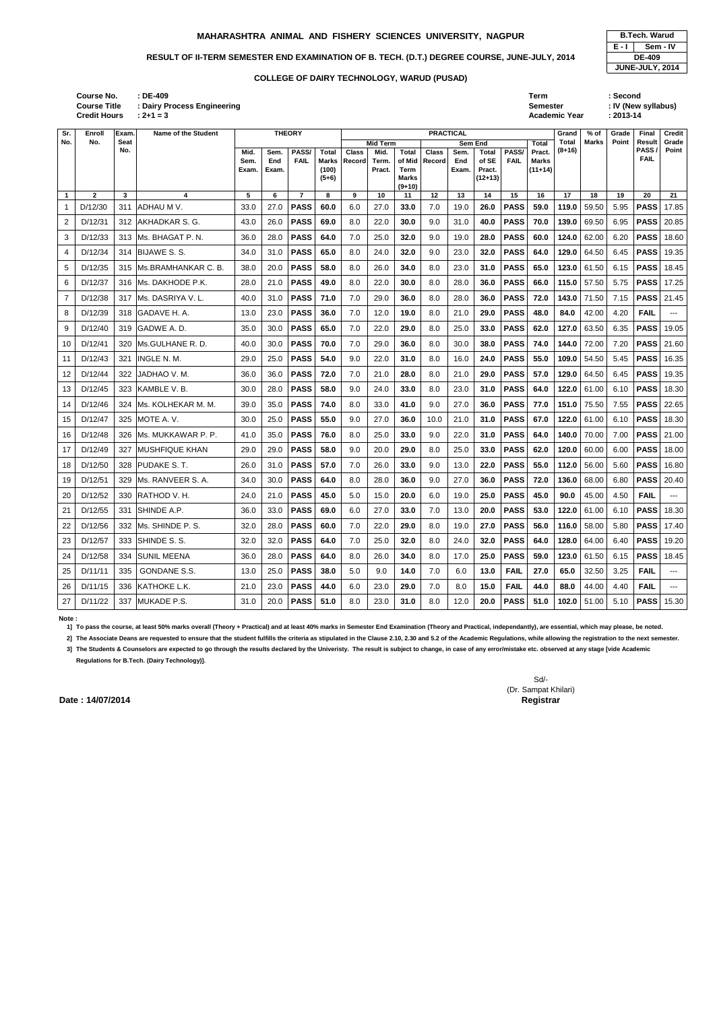| <b>B.Tech. Warud</b> |                 |  |  |  |  |  |  |  |  |
|----------------------|-----------------|--|--|--|--|--|--|--|--|
| E - I<br>Sem - IV    |                 |  |  |  |  |  |  |  |  |
|                      | <b>DE-409</b>   |  |  |  |  |  |  |  |  |
|                      | JUNE-JULY, 2014 |  |  |  |  |  |  |  |  |

|                | <b>Course No.</b><br><b>Course Title</b><br><b>Credit Hours</b> |                    | $:$ DE-409<br>: Dairy Process Engineering<br>$: 2 + 1 = 3$ |               |              |                |                           |              |                         |                                                   |                  |                 |                              |             | Term<br><b>Semester</b>   | <b>Academic Year</b>     |              | : Second<br>$: 2013 - 14$ | : IV (New syllabus) |                |
|----------------|-----------------------------------------------------------------|--------------------|------------------------------------------------------------|---------------|--------------|----------------|---------------------------|--------------|-------------------------|---------------------------------------------------|------------------|-----------------|------------------------------|-------------|---------------------------|--------------------------|--------------|---------------------------|---------------------|----------------|
| Sr.            | Enroll                                                          | Exam.              | Name of the Student                                        |               |              | <b>THEORY</b>  |                           |              |                         |                                                   | <b>PRACTICAL</b> |                 |                              |             |                           | Grand                    | $%$ of       | Grade                     | Final               | <b>Credit</b>  |
| No.            | No.                                                             | <b>Seat</b><br>No. |                                                            | Mid.          | Sem.         | PASS/          | <b>Total</b>              | <b>Class</b> | <b>Mid Term</b><br>Mid. | <b>Total</b>                                      | <b>Class</b>     | Sem End<br>Sem. | <b>Total</b>                 | PASS/       | Total<br>Pract.           | <b>Total</b><br>$(8+16)$ | <b>Marks</b> | Point                     | Result<br>PASS      | Grade<br>Point |
|                |                                                                 |                    |                                                            | Sem.<br>Exam. | End<br>Exam. | <b>FAIL</b>    | Marks<br>(100)<br>$(5+6)$ | Record       | Term.<br>Pract.         | of Mid<br><b>Term</b><br><b>Marks</b><br>$(9+10)$ | <b>Record</b>    | End<br>Exam.    | of SE<br>Pract.<br>$(12+13)$ | <b>FAIL</b> | <b>Marks</b><br>$(11+14)$ |                          |              |                           | <b>FAIL</b>         |                |
|                | $\mathbf{2}$                                                    | 3                  | 4                                                          | 5             | 6            | $\overline{7}$ | 8                         | 9            | 10                      | 11                                                | 12               | 13              | 14                           | 15          | 16                        | 17                       | 18           | 19                        | 20                  | 21             |
| $\mathbf{1}$   | D/12/30                                                         | 311                | <b>ADHAU M V.</b>                                          | 33.0          | 27.0         | <b>PASS</b>    | 60.0                      | 6.0          | 27.0                    | 33.0                                              | 7.0              | 19.0            | 26.0                         | <b>PASS</b> | 59.0                      | 119.0                    | 59.50        | 5.95                      | <b>PASS</b>         | 17.85          |
| $\overline{c}$ | D/12/31                                                         | 312                | <b>JAKHADKAR S. G.</b>                                     | 43.0          | 26.0         | <b>PASS</b>    | 69.0                      | 8.0          | 22.0                    | 30.0                                              | 9.0              | 31.0            | 40.0                         | <b>PASS</b> | 70.0                      | 139.0                    | 69.50        | 6.95                      | <b>PASS</b>         | 20.85          |
| 3              | D/12/33                                                         | 313                | IMs. BHAGAT P. N.                                          | 36.0          | 28.0         | <b>PASS</b>    | 64.0                      | 7.0          | 25.0                    | 32.0                                              | 9.0              | 19.0            | 28.0                         | <b>PASS</b> | 60.0                      | 124.0                    | 62.00        | 6.20                      | <b>PASS</b>         | 18.60          |
| 4              | D/12/34                                                         | 314                | <b>BIJAWE S.S.</b>                                         | 34.0          | 31.0         | <b>PASS</b>    | 65.0                      | 8.0          | 24.0                    | 32.0                                              | 9.0              | 23.0            | 32.0                         | <b>PASS</b> | 64.0                      | 129.0                    | 64.50        | 6.45                      | <b>PASS</b>         | 19.35          |
| 5              | D/12/35                                                         | 315                | IMs.BRAMHANKAR C. B.                                       | 38.0          | 20.0         | <b>PASS</b>    | 58.0                      | 8.0          | 26.0                    | 34.0                                              | 8.0              | 23.0            | 31.0                         | <b>PASS</b> | 65.0                      | 123.0                    | 61.50        | 6.15                      | <b>PASS</b>         | 18.45          |
| 6              | D/12/37                                                         | 316                | IMs. DAKHODE P.K.                                          | 28.0          | 21.0         | <b>PASS</b>    | 49.0                      | 8.0          | 22.0                    | 30.0                                              | 8.0              | 28.0            | 36.0                         | <b>PASS</b> | 66.0                      | 115.0                    | 57.50        | 5.75                      | <b>PASS</b>         | 17.25          |
| 7              | D/12/38                                                         | 317                | <b>IMs. DASRIYA V.L.</b>                                   | 40.0          | 31.0         | <b>PASS</b>    | 71.0                      | 7.0          | 29.0                    | 36.0                                              | 8.0              | 28.0            | 36.0                         | <b>PASS</b> | 72.0                      | 143.0                    | 71.50        | 7.15                      | <b>PASS</b>         | 21.45          |
| 8              | D/12/39                                                         | 318                | <b>GADAVE H. A.</b>                                        | 13.0          | 23.0         | <b>PASS</b>    | 36.0                      | 7.0          | 12.0                    | 19.0                                              | 8.0              | 21.0            | 29.0                         | <b>PASS</b> | 48.0                      | 84.0                     | 42.00        | 4.20                      | <b>FAIL</b>         | $---$          |
| 9              | D/12/40                                                         | 319                | <b>GADWE A.D.</b>                                          | 35.0          | 30.0         | <b>PASS</b>    | 65.0                      | 7.0          | 22.0                    | 29.0                                              | 8.0              | 25.0            | 33.0                         | <b>PASS</b> | 62.0                      | 127.0                    | 63.50        | 6.35                      | <b>PASS</b>         | 19.05          |
| 10             | D/12/41                                                         | 320                | IMs.GULHANE R. D.                                          | 40.0          | 30.0         | <b>PASS</b>    | 70.0                      | 7.0          | 29.0                    | 36.0                                              | 8.0              | 30.0            | 38.0                         | <b>PASS</b> | 74.0                      | 144.0                    | 72.00        | 7.20                      | <b>PASS</b>         | 21.60          |
| 11             | D/12/43                                                         | 321                | <b>INGLE N. M.</b>                                         | 29.0          | 25.0         | <b>PASS</b>    | 54.0                      | 9.0          | 22.0                    | 31.0                                              | 8.0              | 16.0            | 24.0                         | <b>PASS</b> | 55.0                      | 109.0                    | 54.50        | 5.45                      | <b>PASS</b>         | 16.35          |

12 D/12/44 322 JADHAO V. M. 36.0 36.0 **PASS 72.0** 7.0 21.0 **28.0** 8.0 21.0 **29.0 PASS 57.0 129.0** 64.50 6.45 **PASS** 19.35 13 D/12/45 323 KAMBLE V. B. 30.0 28.0 **PASS 58.0** 9.0 24.0 **33.0** 8.0 23.0 **31.0 PASS 64.0 122.0** 61.00 6.10 **PASS** 18.30 14 D/12/46 324 Ms. KOLHEKAR M. M. 39.0 35.0 **PASS 74.0** 8.0 33.0 **41.0** 9.0 27.0 **36.0 PASS 77.0 151.0** 75.50 7.55 **PASS** 22.65 15 D/12/47 325 MOTE A. V. 30.0 25.0 **PASS 55.0** 9.0 27.0 **36.0** 10.0 21.0 **31.0 PASS 67.0 122.0** 61.00 6.10 **PASS** 18.30 16 D/12/48 326 Ms. MUKKAWAR P. P. 41.0 35.0 **PASS 76.0** 8.0 25.0 **33.0** 9.0 22.0 **31.0 PASS 64.0 140.0** 70.00 7.00 **PASS** 21.00 17 D/12/49 327 MUSHFIQUE KHAN 29.0 29.0 **PASS 58.0** 9.0 20.0 **29.0** 8.0 25.0 **33.0 PASS 62.0 120.0** 60.00 6.00 **PASS** 18.00 18 D/12/50 328 PUDAKE S. T. 26.0 31.0 **PASS 57.0** 7.0 26.0 **33.0** 9.0 13.0 **22.0 PASS 55.0 112.0** 56.00 5.60 **PASS** 16.80 19 D/12/51 329 Ms. RANVEER S. A. 34.0 30.0 **PASS 64.0** 8.0 28.0 **36.0** 9.0 27.0 **36.0 PASS 72.0 136.0** 68.00 6.80 **PASS** 20.40 20 D/12/52 330 RATHOD V. H. 24.0 21.0 **PASS 45.0** 5.0 15.0 **20.0** 6.0 19.0 **25.0 PASS 45.0 90.0** 45.00 4.50 **FAIL** --- 21 D/12/55 331 SHINDE A.P. 36.0 33.0 **PASS 69.0** 6.0 27.0 **33.0** 7.0 13.0 **20.0 PASS 53.0 122.0** 61.00 6.10 **PASS** 18.30 22 D/12/56 332 Ms. SHINDE P. S. 32.0 28.0 **PASS 60.0** 7.0 22.0 **29.0** 8.0 19.0 **27.0 PASS 56.0 116.0** 58.00 5.80 **PASS** 17.40 23 D/12/57 333 SHINDE S. S. 32.0 32.0 **PASS 64.0** 7.0 25.0 **32.0** 8.0 24.0 **32.0 PASS 64.0 128.0** 64.00 6.40 **PASS** 19.20 24 D/12/58 334 SUNIL MEENA 36.0 28.0 **PASS 64.0** 8.0 26.0 **34.0** 8.0 17.0 **25.0 PASS 59.0 123.0** 61.50 6.15 **PASS** 18.45 25 D/11/11 335 GONDANE S.S. 13.0 25.0 **PASS 38.0** 5.0 9.0 **14.0** 7.0 6.0 **13.0 FAIL 27.0 65.0** 32.50 3.25 **FAIL** --- 26 D/11/15 336 KATHOKE L.K. 21.0 23.0 **PASS 44.0** 6.0 23.0 **29.0** 7.0 8.0 **15.0 FAIL 44.0 88.0** 44.00 4.40 **FAIL** --- 27 D/11/22 337 MUKADE P.S. 31.0 20.0 **PASS 51.0** 8.0 23.0 **31.0** 8.0 12.0 **20.0 PASS 51.0 102.0** 51.00 5.10 **PASS** 15.30

### **Note :**

**1] To pass the course, at least 50% marks overall (Theory + Practical) and at least 40% marks in Semester End Examination (Theory and Practical, independantly), are essential, which may please, be noted.**

**2] The Associate Deans are requested to ensure that the student fulfills the criteria as stipulated in the Clause 2.10, 2.30 and 5.2 of the Academic Regulations, while allowing the registration to the next semester.**

**3] The Students & Counselors are expected to go through the results declared by the Univeristy. The result is subject to change, in case of any error/mistake etc. observed at any stage [vide Academic Regulations for B.Tech. (Dairy Technology)].**

### **COLLEGE OF DAIRY TECHNOLOGY, WARUD (PUSAD)**

### **MAHARASHTRA ANIMAL AND FISHERY SCIENCES UNIVERSITY, NAGPUR B.Tech. Warud**

### RESULT OF II-TERM SEMESTER END EXAMINATION OF B. TECH. (D.T.) DEGREE COURSE, JUNE-JULY, 2014

**Sr. No.**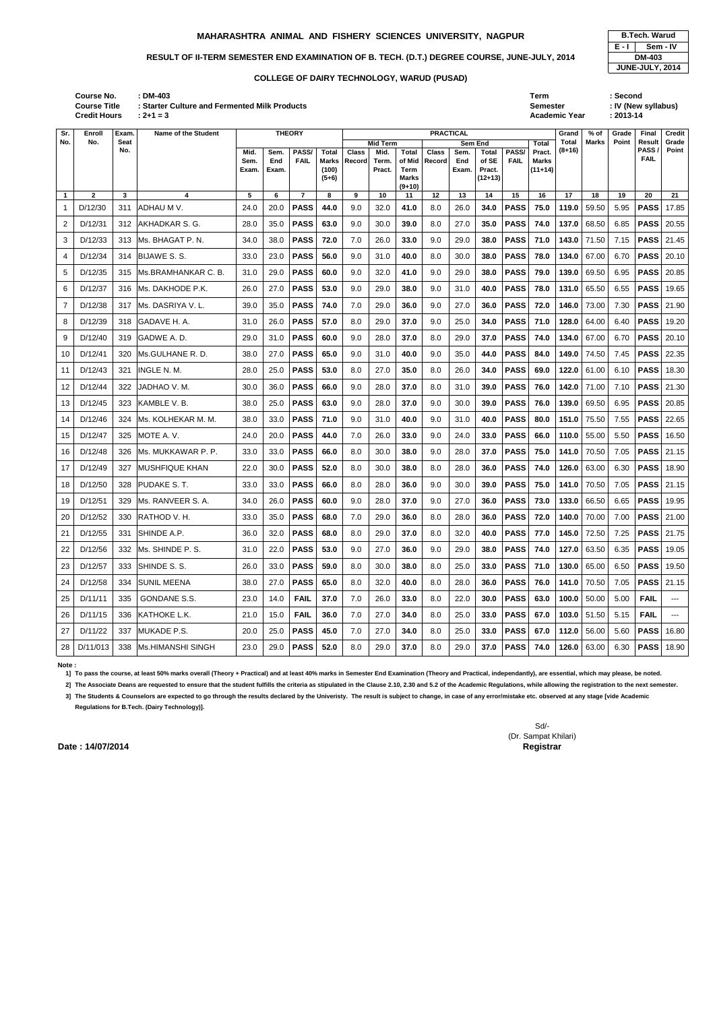|       | <b>B.Tech. Warud</b> |  |  |  |  |  |  |  |  |
|-------|----------------------|--|--|--|--|--|--|--|--|
| E - I | Sem - IV             |  |  |  |  |  |  |  |  |
|       | <b>DM-403</b>        |  |  |  |  |  |  |  |  |
|       | JUNE-JULY, 2014      |  |  |  |  |  |  |  |  |

**: DM-403 Term : Second : Starter Culture and Fermented Milk Products Semester : IV (New syllabus) 2+1 = 3 Academic Year** : 2+1 = 3 **Credit Hours Course No. Course Title**

| Sr.          | Enroll       | Exam. | <b>Name of the Student</b> | <b>THEORY</b> |              |                      |                | <b>PRACTICAL</b> |                 |                |              |              |                 |             |                           |        | % of          | Grade        | <b>Final</b>               | <b>Credit</b>     |
|--------------|--------------|-------|----------------------------|---------------|--------------|----------------------|----------------|------------------|-----------------|----------------|--------------|--------------|-----------------|-------------|---------------------------|--------|---------------|--------------|----------------------------|-------------------|
| No.          | No.          | Seat  |                            |               |              |                      |                |                  | <b>Mid Term</b> |                |              |              | Sem End         |             | Total                     | Total  | <b>Marks</b>  | <b>Point</b> | <b>Result</b>              | Grade             |
|              |              | No.   |                            | Mid.          | Sem.         | PASS/<br><b>FAIL</b> | Total          | <b>Class</b>     | Mid.            | <b>Total</b>   | <b>Class</b> | Sem.         | <b>Total</b>    | PASS/       | Pract.                    | (8+16) |               |              | <b>PASS</b><br><b>FAIL</b> | Point             |
|              |              |       |                            | Sem.<br>Exam. | End<br>Exam. |                      | Marks<br>(100) | Record           | Term.<br>Pract. | of Mid<br>Term | Record       | End<br>Exam. | of SE<br>Pract. | <b>FAIL</b> | <b>Marks</b><br>$(11+14)$ |        |               |              |                            |                   |
|              |              |       |                            |               |              |                      | $(5+6)$        |                  |                 | <b>Marks</b>   |              |              | $(12+13)$       |             |                           |        |               |              |                            |                   |
| $\mathbf{1}$ | $\mathbf{2}$ | 3     | 4                          | 5             | 6            | $\overline{7}$       | 8              | 9                | 10              | $(9+10)$<br>11 | 12           | 13           | 14              | 15          | 16                        | 17     | 18            | 19           | 20                         | 21                |
| -1           | D/12/30      | 311   | ADHAU M V.                 | 24.0          | 20.0         | <b>PASS</b>          | 44.0           | 9.0              | 32.0            | 41.0           | 8.0          | 26.0         | 34.0            | <b>PASS</b> | 75.0                      | 119.0  | 59.50         | 5.95         | <b>PASS</b>                | 17.85             |
| 2            | D/12/31      | 312   | <b>JAKHADKAR S. G.</b>     | 28.0          | 35.0         | <b>PASS</b>          | 63.0           | 9.0              | 30.0            | 39.0           | 8.0          | 27.0         | 35.0            | <b>PASS</b> | 74.0                      | 137.0  | 68.50         | 6.85         | <b>PASS</b>                | 20.55             |
| 3            | D/12/33      | 313   | Ms. BHAGAT P. N.           | 34.0          | 38.0         | <b>PASS</b>          | 72.0           | 7.0              | 26.0            | 33.0           | 9.0          | 29.0         | 38.0            | <b>PASS</b> | 71.0                      | 143.0  | 71.50         | 7.15         | <b>PASS</b>                | 21.45             |
| 4            | D/12/34      | 314   | <b>BIJAWE S.S.</b>         | 33.0          | 23.0         | <b>PASS</b>          | 56.0           | 9.0              | 31.0            | 40.0           | 8.0          | 30.0         | 38.0            | <b>PASS</b> | 78.0                      | 134.0  | 67.00         | 6.70         | <b>PASS</b>                | 20.10             |
| 5            | D/12/35      | 315   | Ms.BRAMHANKAR C. B.        | 31.0          | 29.0         | <b>PASS</b>          | 60.0           | 9.0              | 32.0            | 41.0           | 9.0          | 29.0         | 38.0            | <b>PASS</b> | 79.0                      | 139.0  | 69.50         | 6.95         | <b>PASS</b>                | 20.85             |
| 6            | D/12/37      | 316   | Ms. DAKHODE P.K.           | 26.0          | 27.0         | <b>PASS</b>          | 53.0           | 9.0              | 29.0            | 38.0           | 9.0          | 31.0         | 40.0            | <b>PASS</b> | 78.0                      | 131.0  | 65.50         | 6.55         | <b>PASS</b>                | 19.65             |
| 7            | D/12/38      | 317   | Ms. DASRIYA V. L.          | 39.0          | 35.0         | <b>PASS</b>          | 74.0           | 7.0              | 29.0            | 36.0           | 9.0          | 27.0         | 36.0            | <b>PASS</b> | 72.0                      | 146.0  | 73.00         | 7.30         | <b>PASS</b>                | 21.90             |
| 8            | D/12/39      | 318   | GADAVE H. A.               | 31.0          | 26.0         | <b>PASS</b>          | 57.0           | 8.0              | 29.0            | 37.0           | 9.0          | 25.0         | 34.0            | <b>PASS</b> | 71.0                      | 128.0  | 64.00         | 6.40         | <b>PASS</b>                | 19.20             |
| 9            | D/12/40      | 319   | GADWE A.D.                 | 29.0          | 31.0         | <b>PASS</b>          | 60.0           | 9.0              | 28.0            | 37.0           | 8.0          | 29.0         | 37.0            | <b>PASS</b> | 74.0                      | 134.0  | 67.00         | 6.70         | <b>PASS</b>                | 20.10             |
| 10           | D/12/41      | 320   | Ms.GULHANE R. D.           | 38.0          | 27.0         | <b>PASS</b>          | 65.0           | 9.0              | 31.0            | 40.0           | 9.0          | 35.0         | 44.0            | <b>PASS</b> | 84.0                      | 149.0  | 74.50         | 7.45         | <b>PASS</b>                | 22.35             |
| 11           | D/12/43      | 321   | INGLE N. M.                | 28.0          | 25.0         | <b>PASS</b>          | 53.0           | 8.0              | 27.0            | 35.0           | 8.0          | 26.0         | 34.0            | <b>PASS</b> | 69.0                      | 122.0  | 61.00         | 6.10         | <b>PASS</b>                | 18.30             |
| 12           | D/12/44      | 322   | JADHAO V. M.               | 30.0          | 36.0         | <b>PASS</b>          | 66.0           | 9.0              | 28.0            | 37.0           | 8.0          | 31.0         | 39.0            | <b>PASS</b> | 76.0                      | 142.0  | 71.00         | 7.10         | <b>PASS</b>                | 21.30             |
| 13           | D/12/45      | 323   | KAMBLE V.B.                | 38.0          | 25.0         | <b>PASS</b>          | 63.0           | 9.0              | 28.0            | 37.0           | 9.0          | 30.0         | 39.0            | <b>PASS</b> | 76.0                      | 139.0  | 69.50         | 6.95         | <b>PASS</b>                | 20.85             |
| 14           | D/12/46      | 324   | Ms. KOLHEKAR M. M.         | 38.0          | 33.0         | <b>PASS</b>          | 71.0           | 9.0              | 31.0            | 40.0           | 9.0          | 31.0         | 40.0            | <b>PASS</b> | 80.0                      | 151.0  | 75.50         | 7.55         | <b>PASS</b>                | 22.65             |
| 15           | D/12/47      | 325   | MOTE A.V.                  | 24.0          | 20.0         | <b>PASS</b>          | 44.0           | 7.0              | 26.0            | 33.0           | 9.0          | 24.0         | 33.0            | <b>PASS</b> | 66.0                      | 110.0  | 55.00         | 5.50         | <b>PASS</b>                | 16.50             |
| 16           | D/12/48      | 326   | Ms. MUKKAWAR P. P.         | 33.0          | 33.0         | <b>PASS</b>          | 66.0           | 8.0              | 30.0            | 38.0           | 9.0          | 28.0         | 37.0            | <b>PASS</b> | 75.0                      | 141.0  | 70.50         | 7.05         | <b>PASS</b>                | 21.15             |
| 17           | D/12/49      | 327   | <b>MUSHFIQUE KHAN</b>      | 22.0          | 30.0         | <b>PASS</b>          | 52.0           | 8.0              | 30.0            | 38.0           | 8.0          | 28.0         | 36.0            | <b>PASS</b> | 74.0                      | 126.0  | 63.00         | 6.30         | <b>PASS</b>                | 18.90             |
| 18           | D/12/50      | 328   | PUDAKE S.T.                | 33.0          | 33.0         | <b>PASS</b>          | 66.0           | 8.0              | 28.0            | 36.0           | 9.0          | 30.0         | 39.0            | <b>PASS</b> | 75.0                      | 141.0  | 70.50         | 7.05         | <b>PASS</b>                | 21.15             |
| 19           | D/12/51      | 329   | Ms. RANVEER S. A.          | 34.0          | 26.0         | <b>PASS</b>          | 60.0           | 9.0              | 28.0            | 37.0           | 9.0          | 27.0         | 36.0            | <b>PASS</b> | 73.0                      | 133.0  | 66.50         | 6.65         | <b>PASS</b>                | 19.95             |
| 20           | D/12/52      | 330   | RATHOD V.H.                | 33.0          | 35.0         | <b>PASS</b>          | 68.0           | 7.0              | 29.0            | 36.0           | 8.0          | 28.0         | 36.0            | <b>PASS</b> | 72.0                      | 140.0  | 70.00         | 7.00         |                            | <b>PASS</b> 21.00 |
| 21           | D/12/55      | 331   | SHINDE A.P.                | 36.0          | 32.0         | <b>PASS</b>          | 68.0           | 8.0              | 29.0            | 37.0           | 8.0          | 32.0         | 40.0            | <b>PASS</b> | 77.0                      | 145.0  | 72.50         | 7.25         |                            | <b>PASS</b> 21.75 |
| 22           | D/12/56      | 332   | Ms. SHINDE P. S.           | 31.0          | 22.0         | <b>PASS</b>          | 53.0           | 9.0              | 27.0            | 36.0           | 9.0          | 29.0         | 38.0            | <b>PASS</b> | 74.0                      | 127.0  | 63.50         | 6.35         | <b>PASS</b>                | 19.05             |
| 23           | D/12/57      | 333   | SHINDE S.S.                | 26.0          | 33.0         | <b>PASS</b>          | 59.0           | 8.0              | 30.0            | 38.0           | 8.0          | 25.0         | 33.0            | <b>PASS</b> | 71.0                      | 130.0  | 65.00         | 6.50         | <b>PASS</b>                | 19.50             |
| 24           | D/12/58      | 334   | <b>SUNIL MEENA</b>         | 38.0          | 27.0         | <b>PASS</b>          | 65.0           | 8.0              | 32.0            | 40.0           | 8.0          | 28.0         | 36.0            | <b>PASS</b> | 76.0                      | 141.0  | 70.50         | 7.05         | <b>PASS</b>                | 21.15             |
| 25           | D/11/11      | 335   | <b>GONDANE S.S.</b>        | 23.0          | 14.0         | <b>FAIL</b>          | 37.0           | 7.0              | 26.0            | 33.0           | 8.0          | 22.0         | 30.0            | <b>PASS</b> | 63.0                      | 100.0  | 50.00         | 5.00         | <b>FAIL</b>                | ---               |
| 26           | D/11/15      | 336   | KATHOKE L.K.               | 21.0          | 15.0         | <b>FAIL</b>          | 36.0           | 7.0              | 27.0            | 34.0           | 8.0          | 25.0         | 33.0            | <b>PASS</b> | 67.0                      |        | 103.0 $51.50$ | 5.15         | <b>FAIL</b>                | ---               |
| 27           | D/11/22      | 337   | MUKADE P.S.                | 20.0          | 25.0         | <b>PASS</b>          | 45.0           | 7.0              | 27.0            | 34.0           | 8.0          | 25.0         | 33.0            | <b>PASS</b> | 67.0                      | 112.0  | 56.00         | 5.60         | <b>PASS</b>                | 16.80             |
| 28           | D/11/013     |       | 338 Ms.HIMANSHI SINGH      | 23.0          | 29.0         | <b>PASS</b>          | 52.0           | 8.0              | 29.0            | 37.0           | 8.0          | 29.0         | 37.0            | <b>PASS</b> | 74.0                      |        | 126.0   63.00 | 6.30         |                            | <b>PASS</b> 18.90 |

**Note :** 

**1] To pass the course, at least 50% marks overall (Theory + Practical) and at least 40% marks in Semester End Examination (Theory and Practical, independantly), are essential, which may please, be noted.**

**2] The Associate Deans are requested to ensure that the student fulfills the criteria as stipulated in the Clause 2.10, 2.30 and 5.2 of the Academic Regulations, while allowing the registration to the next semester.**

**3] The Students & Counselors are expected to go through the results declared by the Univeristy. The result is subject to change, in case of any error/mistake etc. observed at any stage [vide Academic Regulations for B.Tech. (Dairy Technology)].**

### **MAHARASHTRA ANIMAL AND FISHERY SCIENCES UNIVERSITY, NAGPUR B.Tech. Warud**

### RESULT OF II-TERM SEMESTER END EXAMINATION OF B. TECH. (D.T.) DEGREE COURSE, JUNE-JULY, 2014

### **COLLEGE OF DAIRY TECHNOLOGY, WARUD (PUSAD)**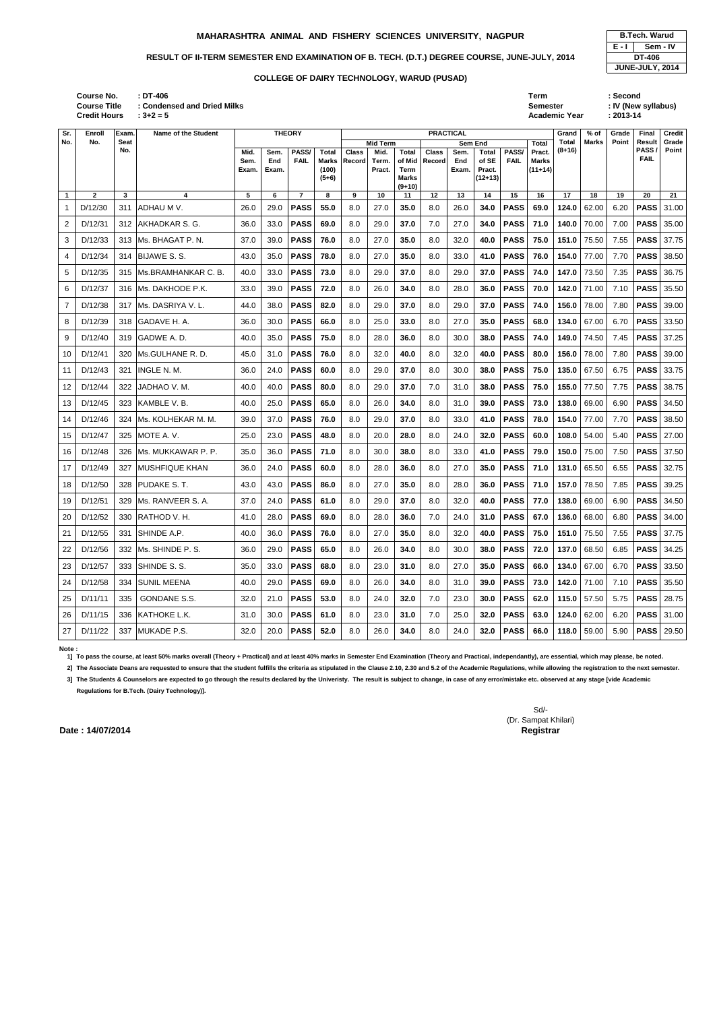| : DT-406<br>: Condensed and Dried Milks<br>$: 3 + 2 = 5$ |               | Term<br>Semester | Academic Year | : Second<br>: IV (New syllabus)<br>$: 2013 - 14$ |         |                    |
|----------------------------------------------------------|---------------|------------------|---------------|--------------------------------------------------|---------|--------------------|
|                                                          |               |                  |               |                                                  |         |                    |
| Name of the Student                                      | <b>THEODY</b> | <b>DDACTICAL</b> | Crond I       | $0.01$ Crade                                     | Einol L | $C_{\text{radif}}$ |

| <b>B.Tech. Warud</b> |        |  |  |  |  |  |  |  |  |  |
|----------------------|--------|--|--|--|--|--|--|--|--|--|
| E - I<br>Sem - IV    |        |  |  |  |  |  |  |  |  |  |
|                      | DT-406 |  |  |  |  |  |  |  |  |  |
| JUNE-JULY, 2014      |        |  |  |  |  |  |  |  |  |  |

| Sr.            | Enroll         | Exam.       | <b>Name of the Student</b> |               |              | <b>THEORY</b>      |                | <b>PRACTICAL</b>           |                 |                |              |              |                 |              | Grand                     | % of         | Grade         | <b>Final</b>  | <b>Credit</b>       |                   |
|----------------|----------------|-------------|----------------------------|---------------|--------------|--------------------|----------------|----------------------------|-----------------|----------------|--------------|--------------|-----------------|--------------|---------------------------|--------------|---------------|---------------|---------------------|-------------------|
| No.            | No.            | <b>Seat</b> |                            |               |              |                    |                | <b>Mid Term</b><br>Sem End |                 |                |              |              |                 | <b>Total</b> | Total                     | <b>Marks</b> | Point         | <b>Result</b> | Grade               |                   |
|                |                | No.         |                            | Mid.          | Sem.         | PASS/              | Total          | <b>Class</b>               | Mid.            | Total          | <b>Class</b> | Sem.         | Total           | PASS/        | Pract.                    | (8+16)       |               |               | PASS<br><b>FAIL</b> | Point             |
|                |                |             |                            | Sem.<br>Exam. | End<br>Exam. | <b>FAIL</b>        | Marks<br>(100) | Record                     | Term.<br>Pract. | of Mid<br>Term | Record       | End<br>Exam. | of SE<br>Pract. | <b>FAIL</b>  | <b>Marks</b><br>$(11+14)$ |              |               |               |                     |                   |
|                |                |             |                            |               |              |                    | $(5+6)$        |                            |                 | <b>Marks</b>   |              |              | (12+13)         |              |                           |              |               |               |                     |                   |
|                |                |             |                            |               |              |                    |                |                            |                 | $(9+10)$       |              |              |                 |              |                           |              |               |               |                     |                   |
| $\mathbf{1}$   | $\overline{2}$ | 3           | 4                          | 5             | 6            | $\overline{7}$     | 8              | 9                          | 10              | 11             | 12           | 13           | 14              | 15           | 16                        | 17           | 18            | 19            | 20                  | 21                |
| 1              | D/12/30        | 311         | ADHAU M V.                 | 26.0          | 29.0         | <b>PASS</b>        | 55.0           | 8.0                        | 27.0            | 35.0           | 8.0          | 26.0         | 34.0            | <b>PASS</b>  | 69.0                      | 124.0        | 62.00         | 6.20          | <b>PASS</b>         | 31.00             |
| $\overline{2}$ | D/12/31        | 312         | <b>JAKHADKAR S. G.</b>     | 36.0          | 33.0         | <b>PASS</b>        | 69.0           | 8.0                        | 29.0            | 37.0           | 7.0          | 27.0         | 34.0            | <b>PASS</b>  | 71.0                      | 140.0        | 70.00         | 7.00          | <b>PASS</b>         | 35.00             |
| 3              | D/12/33        | 313         | Ms. BHAGAT P.N.            | 37.0          | 39.0         | <b>PASS</b>        | 76.0           | 8.0                        | 27.0            | 35.0           | 8.0          | 32.0         | 40.0            | <b>PASS</b>  | 75.0                      | 151.0        | 75.50         | 7.55          | <b>PASS</b>         | 37.75             |
| 4              | D/12/34        |             | 314 BIJAWE S. S.           | 43.0          | 35.0         | <b>PASS</b>        | 78.0           | 8.0                        | 27.0            | 35.0           | 8.0          | 33.0         | 41.0            | <b>PASS</b>  | 76.0                      | 154.0        | 77.00         | 7.70          | <b>PASS</b>         | 38.50             |
| 5              | D/12/35        | 315         | Ms.BRAMHANKAR C. B.        | 40.0          | 33.0         | <b>PASS</b>        | 73.0           | 8.0                        | 29.0            | 37.0           | 8.0          | 29.0         | 37.0            | <b>PASS</b>  | 74.0                      | 147.0        | 73.50         | 7.35          | <b>PASS</b>         | 36.75             |
| 6              | D/12/37        | 316         | Ms. DAKHODE P.K.           | 33.0          | 39.0         | <b>PASS</b>        | 72.0           | 8.0                        | 26.0            | 34.0           | 8.0          | 28.0         | 36.0            | <b>PASS</b>  | 70.0                      | 142.0        | 71.00         | 7.10          | <b>PASS</b>         | 35.50             |
| $\overline{7}$ | D/12/38        | 317         | Ms. DASRIYA V.L.           | 44.0          | 38.0         | <b>PASS</b>        | 82.0           | 8.0                        | 29.0            | 37.0           | 8.0          | 29.0         | 37.0            | <b>PASS</b>  | 74.0                      | 156.0        | 78.00         | 7.80          | <b>PASS</b>         | 39.00             |
| 8              | D/12/39        |             | 318 GADAVE H. A.           | 36.0          | 30.0         | <b>PASS</b>        | 66.0           | 8.0                        | 25.0            | 33.0           | 8.0          | 27.0         | 35.0            | <b>PASS</b>  | 68.0                      | 134.0        | 67.00         | 6.70          | <b>PASS</b>         | 33.50             |
| 9              | D/12/40        | 319         | GADWE A.D.                 | 40.0          | 35.0         | <b>PASS</b>        | 75.0           | 8.0                        | 28.0            | 36.0           | 8.0          | 30.0         | 38.0            | <b>PASS</b>  | 74.0                      | 149.0        | 74.50         | 7.45          | <b>PASS</b>         | 37.25             |
| 10             | D/12/41        | 320         | Ms.GULHANE R. D.           | 45.0          | 31.0         | <b>PASS</b>        | 76.0           | 8.0                        | 32.0            | 40.0           | 8.0          | 32.0         | 40.0            | <b>PASS</b>  | 80.0                      | 156.0        | 78.00         | 7.80          | <b>PASS</b>         | 39.00             |
| 11             | D/12/43        | 321         | INGLE N. M.                | 36.0          | 24.0         | <b>PASS</b>        | 60.0           | 8.0                        | 29.0            | 37.0           | 8.0          | 30.0         | 38.0            | <b>PASS</b>  | 75.0                      | 135.0        | 67.50         | 6.75          | <b>PASS</b>         | 33.75             |
| 12             | D/12/44        | 322         | JADHAO V. M.               | 40.0          | 40.0         | <b>PASS</b>        | 80.0           | 8.0                        | 29.0            | 37.0           | 7.0          | 31.0         | 38.0            | <b>PASS</b>  | 75.0                      | 155.0        | 77.50         | 7.75          | <b>PASS</b>         | 38.75             |
| 13             | D/12/45        | 323         | KAMBLE V.B.                | 40.0          | 25.0         | <b>PASS</b>        | 65.0           | 8.0                        | 26.0            | 34.0           | 8.0          | 31.0         | 39.0            | <b>PASS</b>  | 73.0                      | 138.0        | 69.00         | 6.90          | <b>PASS</b>         | 34.50             |
| 14             | D/12/46        | 324         | Ms. KOLHEKAR M. M.         | 39.0          | 37.0         | <b>PASS</b>        | 76.0           | 8.0                        | 29.0            | 37.0           | 8.0          | 33.0         | 41.0            | <b>PASS</b>  | 78.0                      | 154.0        | 77.00         | 7.70          | <b>PASS</b>         | 38.50             |
| 15             | D/12/47        | 325         | MOTE A.V.                  | 25.0          | 23.0         | <b>PASS</b>        | 48.0           | 8.0                        | 20.0            | 28.0           | 8.0          | 24.0         | 32.0            | <b>PASS</b>  | 60.0                      | 108.0        | 54.00         | 5.40          | <b>PASS</b>         | 27.00             |
| 16             | D/12/48        | 326         | Ms. MUKKAWAR P. P.         | 35.0          | 36.0         | <b>PASS</b>        | 71.0           | 8.0                        | 30.0            | 38.0           | 8.0          | 33.0         | 41.0            | <b>PASS</b>  | 79.0                      | 150.0        | 75.00         | 7.50          | <b>PASS</b>         | 37.50             |
| 17             | D/12/49        | 327         | <b>MUSHFIQUE KHAN</b>      | 36.0          | 24.0         | <b>PASS</b>        | 60.0           | 8.0                        | 28.0            | 36.0           | 8.0          | 27.0         | 35.0            | <b>PASS</b>  | 71.0                      | 131.0        | 65.50         | 6.55          | <b>PASS</b>         | 32.75             |
| 18             | D/12/50        | 328         | <b>PUDAKE S.T.</b>         | 43.0          | 43.0         | <b>PASS</b>        | 86.0           | 8.0                        | 27.0            | 35.0           | 8.0          | 28.0         | 36.0            | <b>PASS</b>  | 71.0                      | 157.0        | 78.50         | 7.85          | <b>PASS</b>         | 39.25             |
| 19             | D/12/51        | 329         | Ms. RANVEER S. A.          | 37.0          | 24.0         | <b>PASS</b>        | 61.0           | 8.0                        | 29.0            | 37.0           | 8.0          | 32.0         | 40.0            | <b>PASS</b>  | 77.0                      | 138.0        | 69.00         | 6.90          | <b>PASS</b>         | 34.50             |
| 20             | D/12/52        |             | 330 RATHOD V. H.           | 41.0          |              | 28.0   <b>PASS</b> | 69.0           | 8.0                        | 28.0            | 36.0           | 7.0          | 24.0         | 31.0            | <b>PASS</b>  | 67.0                      |              | 136.0 68.00   | 6.80          |                     | PASS 34.00        |
| 21             | D/12/55        | 331         | SHINDE A.P.                | 40.0          | 36.0         | <b>PASS</b>        | 76.0           | 8.0                        | 27.0            | 35.0           | 8.0          | 32.0         | 40.0            | <b>PASS</b>  | 75.0                      | 151.0        | 75.50         | 7.55          |                     | <b>PASS</b> 37.75 |
| 22             | D/12/56        | 332         | Ms. SHINDE P. S.           | 36.0          | 29.0         | <b>PASS</b>        | 65.0           | 8.0                        | 26.0            | 34.0           | 8.0          | 30.0         | 38.0            | <b>PASS</b>  | 72.0                      |              | 137.0 68.50   | 6.85          |                     | <b>PASS</b> 34.25 |
| 23             | D/12/57        | 333         | SHINDE S.S.                | 35.0          | 33.0         | <b>PASS</b>        | 68.0           | 8.0                        | 23.0            | 31.0           | 8.0          | 27.0         | 35.0            | <b>PASS</b>  | 66.0                      | 134.0        | 67.00         | 6.70          |                     | <b>PASS</b> 33.50 |
| 24             | D/12/58        | 334         | <b>SUNIL MEENA</b>         | 40.0          | 29.0         | <b>PASS</b>        | 69.0           | 8.0                        | 26.0            | 34.0           | 8.0          | 31.0         | 39.0            | <b>PASS</b>  | 73.0                      | 142.0        | 71.00         | 7.10          |                     | <b>PASS</b> 35.50 |
| 25             | D/11/11        | 335         | <b>GONDANE S.S.</b>        | 32.0          | 21.0         | <b>PASS</b>        | 53.0           | 8.0                        | 24.0            | 32.0           | 7.0          | 23.0         | 30.0            | <b>PASS</b>  | 62.0                      |              | $115.0$ 57.50 | 5.75          |                     | <b>PASS</b> 28.75 |
| 26             | D/11/15        | 336         | KATHOKE L.K.               | 31.0          | 30.0         | <b>PASS</b>        | 61.0           | 8.0                        | 23.0            | 31.0           | 7.0          | 25.0         | 32.0            | <b>PASS</b>  | 63.0                      | 124.0        | 62.00         | 6.20          |                     | <b>PASS</b> 31.00 |
| 27             | D/11/22        |             | 337 MUKADE P.S.            | 32.0          | 20.0         | <b>PASS</b>        | 52.0           | 8.0                        | 26.0            | 34.0           | 8.0          | 24.0         |                 | 32.0   PASS  | 66.0                      |              | $118.0$ 59.00 | 5.90          |                     | <b>PASS</b> 29.50 |

### **Note :**

**1] To pass the course, at least 50% marks overall (Theory + Practical) and at least 40% marks in Semester End Examination (Theory and Practical, independantly), are essential, which may please, be noted.**

**2] The Associate Deans are requested to ensure that the student fulfills the criteria as stipulated in the Clause 2.10, 2.30 and 5.2 of the Academic Regulations, while allowing the registration to the next semester.**

**3] The Students & Counselors are expected to go through the results declared by the Univeristy. The result is subject to change, in case of any error/mistake etc. observed at any stage [vide Academic Regulations for B.Tech. (Dairy Technology)].**

### **COLLEGE OF DAIRY TECHNOLOGY, WARUD (PUSAD)**

### **MAHARASHTRA ANIMAL AND FISHERY SCIENCES UNIVERSITY, NAGPUR B.Tech. Warud**

### RESULT OF II-TERM SEMESTER END EXAMINATION OF B. TECH. (D.T.) DEGREE COURSE, JUNE-JULY, 2014

**Course No. Course Title : Condensed and Dried Milks Credit Hours**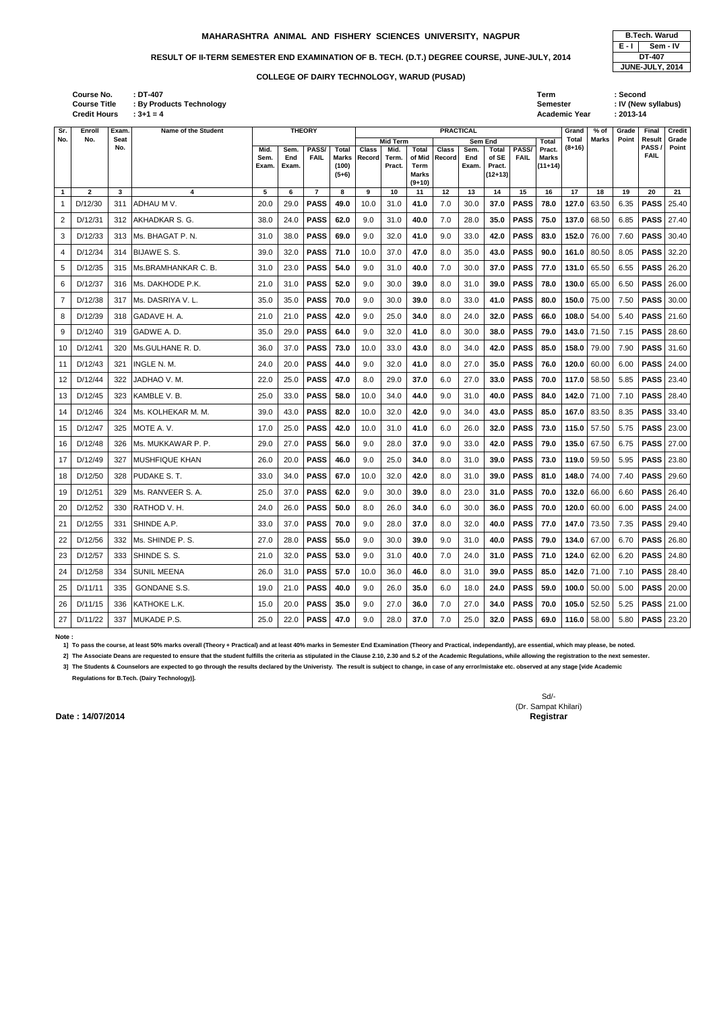| : DT-407                        | Term     | <b>Second</b>       |
|---------------------------------|----------|---------------------|
| <b>By Products Technology</b> : | Semester | : IV (New syllabus) |
| .                               |          | $\cdots$            |

|       | <b>B.Tech. Warud</b> |
|-------|----------------------|
| E - I | Sem - IV             |
|       | DT-407               |
|       | JUNE-JULY, 2014      |

**: 3+1 = 4 Academic Year : 2013-14 Course No. Course Title : By Products Technology Credit Hours**

| Sr.            | Enroll       | Exam.       | <b>Name of the Student</b> |                       |                      | <b>THEORY</b>        |                                                  |                        |                         |                                                     | <b>PRACTICAL</b> |                      |                                              |                      |                                     | Grand        | % of            | Grade | <b>Final</b>   | <b>Credit</b>     |
|----------------|--------------|-------------|----------------------------|-----------------------|----------------------|----------------------|--------------------------------------------------|------------------------|-------------------------|-----------------------------------------------------|------------------|----------------------|----------------------------------------------|----------------------|-------------------------------------|--------------|-----------------|-------|----------------|-------------------|
| No.            | No.          | Seat<br>No. |                            |                       |                      |                      |                                                  |                        | <b>Mid Term</b>         |                                                     |                  |                      | Sem End                                      |                      | <b>Total</b>                        | <b>Total</b> | Marks           | Point | Result<br>PASS | Grade<br>Point    |
|                |              |             |                            | Mid.<br>Sem.<br>Exam. | Sem.<br>End<br>Exam. | PASS/<br><b>FAIL</b> | <b>Total</b><br><b>Marks</b><br>(100)<br>$(5+6)$ | <b>Class</b><br>Record | Mid.<br>Term.<br>Pract. | <b>Total</b><br>of Mid<br>Term<br>Marks<br>$(9+10)$ | Class<br>Record  | Sem.<br>End<br>Exam. | <b>Total</b><br>of SE<br>Pract.<br>$(12+13)$ | PASS/<br><b>FAIL</b> | Pract.<br><b>Marks</b><br>$(11+14)$ | (8+16)       |                 |       | <b>FAIL</b>    |                   |
| $\mathbf{1}$   | $\mathbf{2}$ | 3           | 4                          | 5                     | 6                    | $\overline{7}$       | 8                                                | 9                      | 10                      | 11                                                  | 12               | 13                   | 14                                           | 15                   | 16                                  | 17           | 18              | 19    | 20             | 21                |
|                | D/12/30      | 311         | ADHAU M V.                 | 20.0                  | 29.0                 | <b>PASS</b>          | 49.0                                             | 10.0                   | 31.0                    | 41.0                                                | 7.0              | 30.0                 | 37.0                                         | <b>PASS</b>          | 78.0                                | 127.0        | 63.50           | 6.35  | <b>PASS</b>    | 25.40             |
| $\overline{2}$ | D/12/31      | 312         | AKHADKAR S. G.             | 38.0                  | 24.0                 | <b>PASS</b>          | 62.0                                             | 9.0                    | 31.0                    | 40.0                                                | 7.0              | 28.0                 | 35.0                                         | <b>PASS</b>          | 75.0                                | 137.0        | 68.50           | 6.85  | <b>PASS</b>    | 27.40             |
| 3              | D/12/33      | 313         | Ms. BHAGAT P.N.            | 31.0                  | 38.0                 | <b>PASS</b>          | 69.0                                             | 9.0                    | 32.0                    | 41.0                                                | 9.0              | 33.0                 | 42.0                                         | <b>PASS</b>          | 83.0                                | 152.0        | 76.00           | 7.60  | <b>PASS</b>    | 30.40             |
| 4              | D/12/34      | 314         | <b>BIJAWE S.S.</b>         | 39.0                  | 32.0                 | <b>PASS</b>          | 71.0                                             | 10.0                   | 37.0                    | 47.0                                                | 8.0              | 35.0                 | 43.0                                         | <b>PASS</b>          | 90.0                                | 161.0        | 80.50           | 8.05  | <b>PASS</b>    | 32.20             |
| 5              | D/12/35      | 315         | IMs.BRAMHANKAR C. B.       | 31.0                  | 23.0                 | <b>PASS</b>          | 54.0                                             | 9.0                    | 31.0                    | 40.0                                                | 7.0              | 30.0                 | 37.0                                         | <b>PASS</b>          | 77.0                                | 131.0        | 65.50           | 6.55  | <b>PASS</b>    | 26.20             |
| 6              | D/12/37      | 316         | Ms. DAKHODE P.K.           | 21.0                  | 31.0                 | <b>PASS</b>          | 52.0                                             | 9.0                    | 30.0                    | 39.0                                                | 8.0              | 31.0                 | 39.0                                         | <b>PASS</b>          | 78.0                                | 130.0        | 65.00           | 6.50  | <b>PASS</b>    | 26.00             |
| $\overline{7}$ | D/12/38      | 317         | Ms. DASRIYA V.L.           | 35.0                  | 35.0                 | <b>PASS</b>          | 70.0                                             | 9.0                    | 30.0                    | 39.0                                                | 8.0              | 33.0                 | 41.0                                         | <b>PASS</b>          | 80.0                                | 150.0        | 75.00           | 7.50  | <b>PASS</b>    | 30.00             |
| 8              | D/12/39      | 318         | GADAVE H. A.               | 21.0                  | 21.0                 | <b>PASS</b>          | 42.0                                             | 9.0                    | 25.0                    | 34.0                                                | 8.0              | 24.0                 | 32.0                                         | <b>PASS</b>          | 66.0                                | 108.0        | 54.00           | 5.40  | <b>PASS</b>    | 21.60             |
| 9              | D/12/40      | 319         | GADWE A.D.                 | 35.0                  | 29.0                 | <b>PASS</b>          | 64.0                                             | 9.0                    | 32.0                    | 41.0                                                | 8.0              | 30.0                 | 38.0                                         | <b>PASS</b>          | 79.0                                | 143.0        | 71.50           | 7.15  | <b>PASS</b>    | 28.60             |
| 10             | D/12/41      | 320         | Ms.GULHANE R.D.            | 36.0                  | 37.0                 | <b>PASS</b>          | 73.0                                             | 10.0                   | 33.0                    | 43.0                                                | 8.0              | 34.0                 | 42.0                                         | <b>PASS</b>          | 85.0                                | 158.0        | 79.00           | 7.90  | <b>PASS</b>    | 31.60             |
| 11             | D/12/43      | 321         | <b>INGLE N. M.</b>         | 24.0                  | 20.0                 | <b>PASS</b>          | 44.0                                             | 9.0                    | 32.0                    | 41.0                                                | 8.0              | 27.0                 | 35.0                                         | <b>PASS</b>          | 76.0                                | 120.0        | 60.00           | 6.00  | <b>PASS</b>    | 24.00             |
| 12             | D/12/44      | 322         | JADHAO V. M.               | 22.0                  | 25.0                 | <b>PASS</b>          | 47.0                                             | 8.0                    | 29.0                    | 37.0                                                | 6.0              | 27.0                 | 33.0                                         | <b>PASS</b>          | 70.0                                | 117.0        | 58.50           | 5.85  | <b>PASS</b>    | 23.40             |
| 13             | D/12/45      | 323         | KAMBLE V.B.                | 25.0                  | 33.0                 | <b>PASS</b>          | 58.0                                             | 10.0                   | 34.0                    | 44.0                                                | 9.0              | 31.0                 | 40.0                                         | <b>PASS</b>          | 84.0                                | 142.0        | 71.00           | 7.10  | <b>PASS</b>    | 28.40             |
| 14             | D/12/46      | 324         | Ms. KOLHEKAR M. M.         | 39.0                  | 43.0                 | <b>PASS</b>          | 82.0                                             | 10.0                   | 32.0                    | 42.0                                                | 9.0              | 34.0                 | 43.0                                         | <b>PASS</b>          | 85.0                                | 167.0        | 83.50           | 8.35  | <b>PASS</b>    | 33.40             |
| 15             | D/12/47      | 325         | MOTE A.V.                  | 17.0                  | 25.0                 | <b>PASS</b>          | 42.0                                             | 10.0                   | 31.0                    | 41.0                                                | 6.0              | 26.0                 | 32.0                                         | <b>PASS</b>          | 73.0                                | 115.0        | 57.50           | 5.75  | <b>PASS</b>    | 23.00             |
| 16             | D/12/48      | 326         | Ms. MUKKAWAR P. P.         | 29.0                  | 27.0                 | <b>PASS</b>          | 56.0                                             | 9.0                    | 28.0                    | 37.0                                                | 9.0              | 33.0                 | 42.0                                         | <b>PASS</b>          | 79.0                                | 135.0        | 67.50           | 6.75  | <b>PASS</b>    | 27.00             |
| 17             | D/12/49      | 327         | <b>IMUSHFIQUE KHAN</b>     | 26.0                  | 20.0                 | <b>PASS</b>          | 46.0                                             | 9.0                    | 25.0                    | 34.0                                                | 8.0              | 31.0                 | 39.0                                         | <b>PASS</b>          | 73.0                                | 119.0        | 59.50           | 5.95  | <b>PASS</b>    | 23.80             |
| 18             | D/12/50      | 328         | PUDAKE S.T.                | 33.0                  | 34.0                 | <b>PASS</b>          | 67.0                                             | 10.0                   | 32.0                    | 42.0                                                | 8.0              | 31.0                 | 39.0                                         | <b>PASS</b>          | 81.0                                | 148.0        | 74.00           | 7.40  | <b>PASS</b>    | 29.60             |
| 19             | D/12/51      | 329         | lMs. RANVEER S. A.         | 25.0                  | 37.0                 | <b>PASS</b>          | 62.0                                             | 9.0                    | 30.0                    | 39.0                                                | 8.0              | 23.0                 | 31.0                                         | <b>PASS</b>          | 70.0                                | 132.0        | 66.00           | 6.60  | <b>PASS</b>    | 26.40             |
| 20             | D/12/52      |             | 330 RATHOD V. H.           | 24.0                  |                      | 26.0   <b>PASS</b>   | 50.0                                             | 8.0                    | 26.0                    | 34.0                                                | 6.0              | 30.0                 | 36.0                                         | <b>PASS</b> 70.0     |                                     |              | 120.0 60.00     | 6.00  |                | <b>PASS</b> 24.00 |
| 21             | D/12/55      |             | 331 SHINDE A.P.            | 33.0                  | 37.0                 | <b>PASS</b>          | 70.0                                             | 9.0                    | 28.0                    | 37.0                                                | 8.0              | 32.0                 | 40.0                                         | <b>PASS</b>          | 77.0                                |              | 147.0 73.50     | 7.35  | <b>PASS</b>    | 29.40             |
| 22             | D/12/56      | 332         | Ms. SHINDE P. S.           | 27.0                  | 28.0                 | <b>PASS</b>          | 55.0                                             | 9.0                    | 30.0                    | 39.0                                                | 9.0              | 31.0                 | 40.0                                         | <b>PASS</b>          | 79.0                                |              | 134.0 67.00     | 6.70  |                | <b>PASS</b> 26.80 |
| 23             | D/12/57      | 333         | SHINDE S.S.                | 21.0                  | 32.0                 | <b>PASS</b>          | 53.0                                             | 9.0                    | 31.0                    | 40.0                                                | 7.0              | 24.0                 | 31.0                                         | <b>PASS</b>          | 71.0                                |              | 124.0 62.00     | 6.20  |                | <b>PASS</b> 24.80 |
| 24             | D/12/58      | 334         | <b>SUNIL MEENA</b>         | 26.0                  | 31.0                 | <b>PASS</b>          | 57.0                                             | 10.0                   | 36.0                    | 46.0                                                | 8.0              | 31.0                 | 39.0                                         | <b>PASS</b>          | 85.0                                |              | 142.0 71.00     | 7.10  |                | <b>PASS</b> 28.40 |
| 25             | D/11/11      | 335         | GONDANE S.S.               | 19.0                  | 21.0                 | <b>PASS</b>          | 40.0                                             | 9.0                    | 26.0                    | 35.0                                                | 6.0              | 18.0                 | 24.0                                         | <b>PASS</b>          | 59.0                                |              | 100.0 50.00     | 5.00  | <b>PASS</b>    | 20.00             |
| 26             | D/11/15      | 336         | KATHOKE L.K.               | 15.0                  | 20.0                 | <b>PASS</b>          | 35.0                                             | 9.0                    | 27.0                    | 36.0                                                | 7.0              | 27.0                 | 34.0                                         | <b>PASS</b>          | 70.0                                |              | $105.0$ 52.50   | 5.25  |                | <b>PASS</b> 21.00 |
| 27             | D/11/22      |             | 337 MUKADE P.S.            | 25.0                  | 22.0                 | <b>PASS</b>          | 47.0                                             | 9.0                    | 28.0                    | 37.0                                                | 7.0              | 25.0                 | 32.0                                         | <b>PASS</b>          | 69.0                                |              | 116.0 $ $ 58.00 | 5.80  |                | <b>PASS</b> 23.20 |

**Note :** 

**1] To pass the course, at least 50% marks overall (Theory + Practical) and at least 40% marks in Semester End Examination (Theory and Practical, independantly), are essential, which may please, be noted.**

**2] The Associate Deans are requested to ensure that the student fulfills the criteria as stipulated in the Clause 2.10, 2.30 and 5.2 of the Academic Regulations, while allowing the registration to the next semester.**

**3] The Students & Counselors are expected to go through the results declared by the Univeristy. The result is subject to change, in case of any error/mistake etc. observed at any stage [vide Academic** 

**Regulations for B.Tech. (Dairy Technology)].**

Sd/- (Dr. Sampat Khilari)

### **COLLEGE OF DAIRY TECHNOLOGY, WARUD (PUSAD)**

### **MAHARASHTRA ANIMAL AND FISHERY SCIENCES UNIVERSITY, NAGPUR B.Tech. Warud**

### RESULT OF II-TERM SEMESTER END EXAMINATION OF B. TECH. (D.T.) DEGREE COURSE, JUNE-JULY, 2014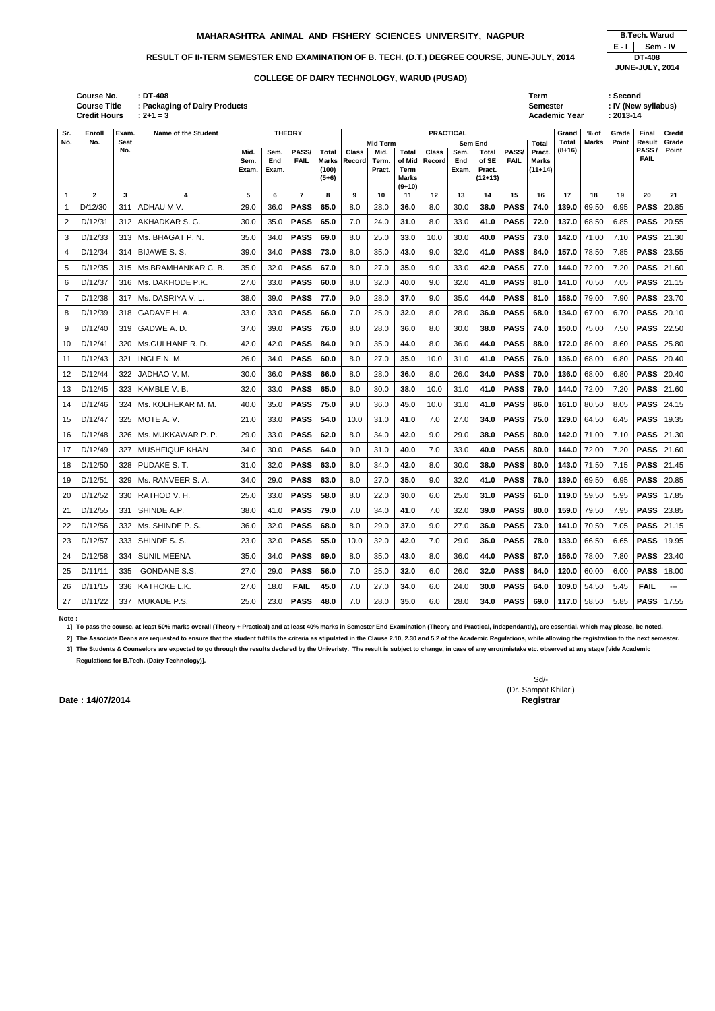**(9+10)**

**1 2 3 4 5 6 7 8 9 10 11 12 13 14 15 16 17 18 19 20 21** 1 D/12/30 311 ADHAU M V. 29.0 36.0 **PASS 65.0** 8.0 28.0 **36.0** 8.0 30.0 **38.0 PASS 74.0 139.0** 69.50 6.95 **PASS** 20.85

| $\overline{c}$ | D/12/31 | 312 | AKHADKAR S. G.      | 30.0 | 35.0 | <b>PASS</b> | 65.0 | 7.0  | 24.0 | 31.0 | 8.0  | 33.0 | 41.0 | <b>PASS</b> | 72.0 | 137.0 | 68.50 | 6.85 | <b>PASS</b> | 20.55 |
|----------------|---------|-----|---------------------|------|------|-------------|------|------|------|------|------|------|------|-------------|------|-------|-------|------|-------------|-------|
| 3              | D/12/33 | 313 | Ms. BHAGAT P.N.     | 35.0 | 34.0 | <b>PASS</b> | 69.0 | 8.0  | 25.0 | 33.0 | 10.0 | 30.0 | 40.0 | <b>PASS</b> | 73.0 | 142.0 | 71.00 | 7.10 | <b>PASS</b> | 21.30 |
| 4              | D/12/34 | 314 | <b>BIJAWE S.S.</b>  | 39.0 | 34.0 | <b>PASS</b> | 73.0 | 8.0  | 35.0 | 43.0 | 9.0  | 32.0 | 41.0 | <b>PASS</b> | 84.0 | 157.0 | 78.50 | 7.85 | <b>PASS</b> | 23.55 |
| 5              | D/12/35 | 315 | Ms.BRAMHANKAR C. B. | 35.0 | 32.0 | <b>PASS</b> | 67.0 | 8.0  | 27.0 | 35.0 | 9.0  | 33.0 | 42.0 | <b>PASS</b> | 77.0 | 144.0 | 72.00 | 7.20 | <b>PASS</b> | 21.60 |
| 6              | D/12/37 | 316 | Ms. DAKHODE P.K.    | 27.0 | 33.0 | <b>PASS</b> | 60.0 | 8.0  | 32.0 | 40.0 | 9.0  | 32.0 | 41.0 | <b>PASS</b> | 81.0 | 141.0 | 70.50 | 7.05 | <b>PASS</b> | 21.15 |
| 7              | D/12/38 | 317 | Ms. DASRIYA V. L.   | 38.0 | 39.0 | <b>PASS</b> | 77.0 | 9.0  | 28.0 | 37.0 | 9.0  | 35.0 | 44.0 | <b>PASS</b> | 81.0 | 158.0 | 79.00 | 7.90 | <b>PASS</b> | 23.70 |
| 8              | D/12/39 | 318 | GADAVE H. A.        | 33.0 | 33.0 | <b>PASS</b> | 66.0 | 7.0  | 25.0 | 32.0 | 8.0  | 28.0 | 36.0 | <b>PASS</b> | 68.0 | 134.0 | 67.00 | 6.70 | <b>PASS</b> | 20.10 |
| 9              | D/12/40 | 319 | lGADWE A. D.        | 37.0 | 39.0 | <b>PASS</b> | 76.0 | 8.0  | 28.0 | 36.0 | 8.0  | 30.0 | 38.0 | <b>PASS</b> | 74.0 | 150.0 | 75.00 | 7.50 | <b>PASS</b> | 22.50 |
| 10             | D/12/41 | 320 | Ms.GULHANE R. D.    | 42.0 | 42.0 | <b>PASS</b> | 84.0 | 9.0  | 35.0 | 44.0 | 8.0  | 36.0 | 44.0 | <b>PASS</b> | 88.0 | 172.0 | 86.00 | 8.60 | <b>PASS</b> | 25.80 |
| 11             | D/12/43 | 321 | INGLE N. M.         | 26.0 | 34.0 | <b>PASS</b> | 60.0 | 8.0  | 27.0 | 35.0 | 10.0 | 31.0 | 41.0 | <b>PASS</b> | 76.0 | 136.0 | 68.00 | 6.80 | <b>PASS</b> | 20.40 |
| 12             | D/12/44 | 322 | JADHAO V. M.        | 30.0 | 36.0 | <b>PASS</b> | 66.0 | 8.0  | 28.0 | 36.0 | 8.0  | 26.0 | 34.0 | <b>PASS</b> | 70.0 | 136.0 | 68.00 | 6.80 | <b>PASS</b> | 20.40 |
| 13             | D/12/45 | 323 | KAMBLE V.B.         | 32.0 | 33.0 | <b>PASS</b> | 65.0 | 8.0  | 30.0 | 38.0 | 10.0 | 31.0 | 41.0 | <b>PASS</b> | 79.0 | 144.0 | 72.00 | 7.20 | <b>PASS</b> | 21.60 |
| 14             | D/12/46 | 324 | Ms. KOLHEKAR M. M.  | 40.0 | 35.0 | <b>PASS</b> | 75.0 | 9.0  | 36.0 | 45.0 | 10.0 | 31.0 | 41.0 | <b>PASS</b> | 86.0 | 161.0 | 80.50 | 8.05 | <b>PASS</b> | 24.15 |
| 15             | D/12/47 | 325 | MOTE A.V.           | 21.0 | 33.0 | <b>PASS</b> | 54.0 | 10.0 | 31.0 | 41.0 | 7.0  | 27.0 | 34.0 | <b>PASS</b> | 75.0 | 129.0 | 64.50 | 6.45 | <b>PASS</b> | 19.35 |
| 16             | D/12/48 | 326 | Ms. MUKKAWAR P. P.  | 29.0 | 33.0 | <b>PASS</b> | 62.0 | 8.0  | 34.0 | 42.0 | 9.0  | 29.0 | 38.0 | <b>PASS</b> | 80.0 | 142.0 | 71.00 | 7.10 | <b>PASS</b> | 21.30 |
| 17             | D/12/49 | 327 | MUSHFIQUE KHAN      | 34.0 | 30.0 | <b>PASS</b> | 64.0 | 9.0  | 31.0 | 40.0 | 7.0  | 33.0 | 40.0 | <b>PASS</b> | 80.0 | 144.0 | 72.00 | 7.20 | <b>PASS</b> | 21.60 |
| 18             | D/12/50 | 328 | PUDAKE S.T.         | 31.0 | 32.0 | <b>PASS</b> | 63.0 | 8.0  | 34.0 | 42.0 | 8.0  | 30.0 | 38.0 | <b>PASS</b> | 80.0 | 143.0 | 71.50 | 7.15 | <b>PASS</b> | 21.45 |
| 19             | D/12/51 | 329 | Ms. RANVEER S. A.   | 34.0 | 29.0 | <b>PASS</b> | 63.0 | 8.0  | 27.0 | 35.0 | 9.0  | 32.0 | 41.0 | <b>PASS</b> | 76.0 | 139.0 | 69.50 | 6.95 | <b>PASS</b> | 20.85 |
| 20             | D/12/52 | 330 | RATHOD V.H.         | 25.0 | 33.0 | <b>PASS</b> | 58.0 | 8.0  | 22.0 | 30.0 | 6.0  | 25.0 | 31.0 | <b>PASS</b> | 61.0 | 119.0 | 59.50 | 5.95 | <b>PASS</b> | 17.85 |
| 21             | D/12/55 | 331 | SHINDE A.P.         | 38.0 | 41.0 | <b>PASS</b> | 79.0 | 7.0  | 34.0 | 41.0 | 7.0  | 32.0 | 39.0 | <b>PASS</b> | 80.0 | 159.0 | 79.50 | 7.95 | <b>PASS</b> | 23.85 |
| 22             | D/12/56 | 332 | Ms. SHINDE P. S.    | 36.0 | 32.0 | <b>PASS</b> | 68.0 | 8.0  | 29.0 | 37.0 | 9.0  | 27.0 | 36.0 | <b>PASS</b> | 73.0 | 141.0 | 70.50 | 7.05 | <b>PASS</b> | 21.15 |
| 23             | D/12/57 | 333 | SHINDE S. S.        | 23.0 | 32.0 | <b>PASS</b> | 55.0 | 10.0 | 32.0 | 42.0 | 7.0  | 29.0 | 36.0 | <b>PASS</b> | 78.0 | 133.0 | 66.50 | 6.65 | <b>PASS</b> | 19.95 |
| 24             | D/12/58 | 334 | <b>SUNIL MEENA</b>  | 35.0 | 34.0 | <b>PASS</b> | 69.0 | 8.0  | 35.0 | 43.0 | 8.0  | 36.0 | 44.0 | <b>PASS</b> | 87.0 | 156.0 | 78.00 | 7.80 | <b>PASS</b> | 23.40 |
| 25             | D/11/11 | 335 | <b>GONDANE S.S.</b> | 27.0 | 29.0 | <b>PASS</b> | 56.0 | 7.0  | 25.0 | 32.0 | 6.0  | 26.0 | 32.0 | <b>PASS</b> | 64.0 | 120.0 | 60.00 | 6.00 | <b>PASS</b> | 18.00 |
| 26             | D/11/15 | 336 | KATHOKE L.K.        | 27.0 | 18.0 | <b>FAIL</b> | 45.0 | 7.0  | 27.0 | 34.0 | 6.0  | 24.0 | 30.0 | <b>PASS</b> | 64.0 | 109.0 | 54.50 | 5.45 | <b>FAIL</b> | ---   |
| 27             | D/11/22 | 337 | MUKADE P.S.         | 25.0 | 23.0 | <b>PASS</b> | 48.0 | 7.0  | 28.0 | 35.0 | 6.0  | 28.0 | 34.0 | <b>PASS</b> | 69.0 | 117.0 | 58.50 | 5.85 | <b>PASS</b> | 17.55 |

|       | <b>B.Tech. Warud</b> |
|-------|----------------------|
| E - I | Sem - IV             |
|       | <b>DT-408</b>        |
|       | JUNE-JULY, 2014      |

**Course N Course T Credit Ho** 

| ١o.<br><b>Title</b> | ours  | $:DT-408$<br>: Packaging of Dairy Products<br>$: 2 + 1 = 3$ |       |       |               |         |                     |          |       |                  |       |              |             | Term<br><b>Semester</b> | <b>Academic Year</b> |              | : Second<br>$: 2013 - 14$ | : IV (New syllabus) |               |
|---------------------|-------|-------------------------------------------------------------|-------|-------|---------------|---------|---------------------|----------|-------|------------------|-------|--------------|-------------|-------------------------|----------------------|--------------|---------------------------|---------------------|---------------|
|                     | Exam. | Name of the Student                                         |       |       | <b>THEORY</b> |         |                     |          |       | <b>PRACTICAL</b> |       |              |             |                         | Grand                | % of         | Grade                     | <b>Final</b>        | <b>Credit</b> |
|                     | Seat  |                                                             |       |       |               |         |                     | Mid Term |       |                  |       | Sem End      |             | <b>Total</b>            | Total                | <b>Marks</b> | Point                     | <b>Result</b>       | Grade         |
|                     | No.   |                                                             | Mid.  | Sem.  | PASS/         | Total   | <b>Class</b>        | Mid.     | Total | <b>Class</b>     | Sem.  | <b>Total</b> | PASS/       | Pract.                  | $(8+16)$             |              |                           | PASS/               | Point         |
|                     |       |                                                             | Sem.  | End   | <b>FAIL</b>   |         | <b>Marks Record</b> | Term     |       | of Mid   Record  | End   | of SE        | <b>FAIL</b> | Marks                   |                      |              |                           | <b>FAIL</b>         |               |
|                     |       |                                                             | Exam. | Exam. |               | (100)   |                     | Pract.   | Term  |                  | Exam. | Pract.       |             | $(11+14)$               |                      |              |                           |                     |               |
|                     |       |                                                             |       |       |               | $(5+6)$ |                     |          | Marks |                  |       | $(12+13)$    |             |                         |                      |              |                           |                     |               |

### **Note :**

**1] To pass the course, at least 50% marks overall (Theory + Practical) and at least 40% marks in Semester End Examination (Theory and Practical, independantly), are essential, which may please, be noted.**

**2] The Associate Deans are requested to ensure that the student fulfills the criteria as stipulated in the Clause 2.10, 2.30 and 5.2 of the Academic Regulations, while allowing the registration to the next semester.**

**3] The Students & Counselors are expected to go through the results declared by the Univeristy. The result is subject to change, in case of any error/mistake etc. observed at any stage [vide Academic Regulations for B.Tech. (Dairy Technology)].**

### **COLLEGE OF DAIRY TECHNOLOGY, WARUD (PUSAD)**

### **MAHARASHTRA ANIMAL AND FISHERY SCIENCES UNIVERSITY, NAGPUR B.Tech. Warud**

### RESULT OF II-TERM SEMESTER END EXAMINATION OF B. TECH. (D.T.) DEGREE COURSE, JUNE-JULY, 2014

**Sr. No.** **Enroll No.**